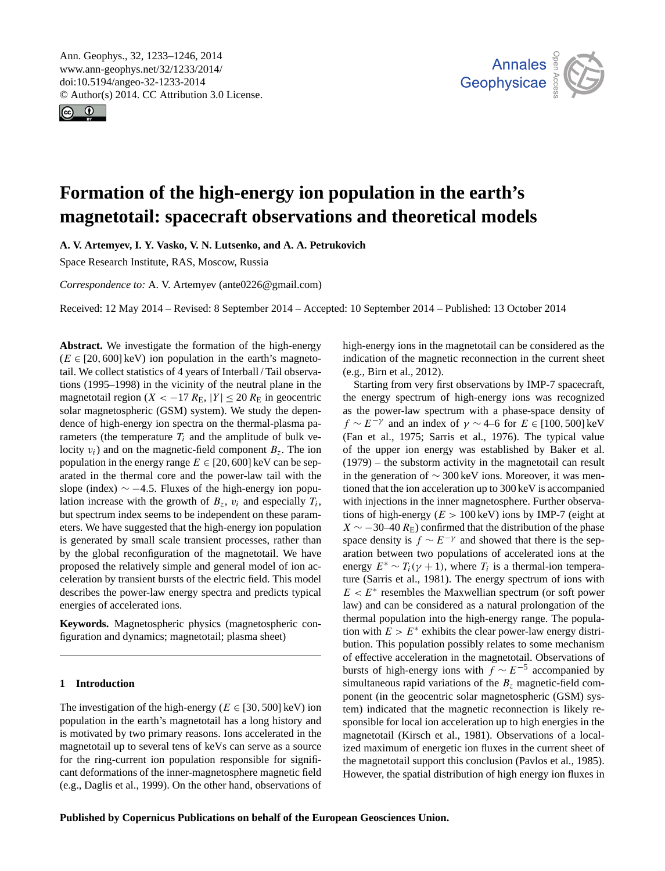<span id="page-0-0"></span>Ann. Geophys., 32, 1233–1246, 2014 www.ann-geophys.net/32/1233/2014/ doi:10.5194/angeo-32-1233-2014 © Author(s) 2014. CC Attribution 3.0 License.





# **Formation of the high-energy ion population in the earth's magnetotail: spacecraft observations and theoretical models**

**A. V. Artemyev, I. Y. Vasko, V. N. Lutsenko, and A. A. Petrukovich**

Space Research Institute, RAS, Moscow, Russia

*Correspondence to:* A. V. Artemyev (ante0226@gmail.com)

Received: 12 May 2014 – Revised: 8 September 2014 – Accepted: 10 September 2014 – Published: 13 October 2014

**Abstract.** We investigate the formation of the high-energy  $(E \in [20, 600] \text{ keV})$  ion population in the earth's magnetotail. We collect statistics of 4 years of Interball / Tail observations (1995–1998) in the vicinity of the neutral plane in the magnetotail region ( $X < -17 R_{\rm E}$ ,  $|Y| \le 20 R_{\rm E}$  in geocentric solar magnetospheric (GSM) system). We study the dependence of high-energy ion spectra on the thermal-plasma parameters (the temperature  $T_i$  and the amplitude of bulk velocity  $v_i$ ) and on the magnetic-field component  $B_z$ . The ion population in the energy range  $E \in [20, 600]$  keV can be separated in the thermal core and the power-law tail with the slope (index)  $\sim$  -4.5. Fluxes of the high-energy ion population increase with the growth of  $B_z$ ,  $v_i$  and especially  $T_i$ , but spectrum index seems to be independent on these parameters. We have suggested that the high-energy ion population is generated by small scale transient processes, rather than by the global reconfiguration of the magnetotail. We have proposed the relatively simple and general model of ion acceleration by transient bursts of the electric field. This model describes the power-law energy spectra and predicts typical energies of accelerated ions.

**Keywords.** Magnetospheric physics (magnetospheric configuration and dynamics; magnetotail; plasma sheet)

# **1 Introduction**

The investigation of the high-energy ( $E \in [30, 500]$  keV) ion population in the earth's magnetotail has a long history and is motivated by two primary reasons. Ions accelerated in the magnetotail up to several tens of keVs can serve as a source for the ring-current ion population responsible for significant deformations of the inner-magnetosphere magnetic field (e.g., [Daglis et al.,](#page-9-0) [1999\)](#page-9-0). On the other hand, observations of high-energy ions in the magnetotail can be considered as the indication of the magnetic reconnection in the current sheet (e.g., [Birn et al.,](#page-9-1) [2012\)](#page-9-1).

Starting from very first observations by IMP-7 spacecraft, the energy spectrum of high-energy ions was recognized as the power-law spectrum with a phase-space density of  $f \sim E^{-\gamma}$  and an index of  $\gamma \sim 4-6$  for  $E \in [100, 500]$  keV [\(Fan et al.,](#page-10-0) [1975;](#page-10-0) [Sarris et al.,](#page-12-0) [1976\)](#page-12-0). The typical value of the upper ion energy was established by [Baker et al.](#page-9-2) [\(1979\)](#page-9-2) – the substorm activity in the magnetotail can result in the generation of ∼ 300 keV ions. Moreover, it was mentioned that the ion acceleration up to 300 keV is accompanied with injections in the inner magnetosphere. Further observations of high-energy ( $E > 100 \,\text{keV}$ ) ions by IMP-7 (eight at  $X \sim -30-40 R_{\rm E}$ ) confirmed that the distribution of the phase space density is  $f \sim E^{-\gamma}$  and showed that there is the separation between two populations of accelerated ions at the energy  $E^* \sim T_i(\gamma + 1)$ , where  $T_i$  is a thermal-ion temperature [\(Sarris et al.,](#page-12-1) [1981\)](#page-12-1). The energy spectrum of ions with  $E < E^*$  resembles the Maxwellian spectrum (or soft power law) and can be considered as a natural prolongation of the thermal population into the high-energy range. The population with  $E > E^*$  exhibits the clear power-law energy distribution. This population possibly relates to some mechanism of effective acceleration in the magnetotail. Observations of bursts of high-energy ions with  $f \sim E^{-5}$  accompanied by simultaneous rapid variations of the  $B_z$  magnetic-field component (in the geocentric solar magnetospheric (GSM) system) indicated that the magnetic reconnection is likely responsible for local ion acceleration up to high energies in the magnetotail [\(Kirsch et al.,](#page-10-1) [1981\)](#page-10-1). Observations of a localized maximum of energetic ion fluxes in the current sheet of the magnetotail support this conclusion [\(Pavlos et al.,](#page-11-0) [1985\)](#page-11-0). However, the spatial distribution of high energy ion fluxes in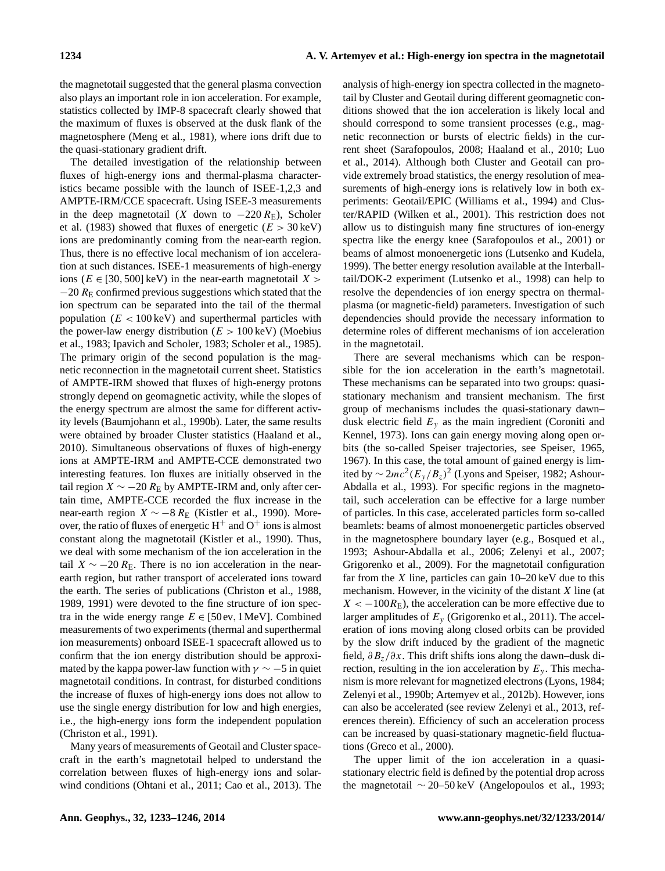the magnetotail suggested that the general plasma convection also plays an important role in ion acceleration. For example, statistics collected by IMP-8 spacecraft clearly showed that the maximum of fluxes is observed at the dusk flank of the magnetosphere [\(Meng et al.,](#page-11-1) [1981\)](#page-11-1), where ions drift due to the quasi-stationary gradient drift.

The detailed investigation of the relationship between fluxes of high-energy ions and thermal-plasma characteristics became possible with the launch of ISEE-1,2,3 and AMPTE-IRM/CCE spacecraft. Using ISEE-3 measurements in the deep magnetotail (X down to  $-220 R_{\rm E}$ ), [Scholer](#page-12-2) [et al.](#page-12-2) [\(1983\)](#page-12-2) showed that fluxes of energetic  $(E > 30 \,\text{keV})$ ions are predominantly coming from the near-earth region. Thus, there is no effective local mechanism of ion acceleration at such distances. ISEE-1 measurements of high-energy ions ( $E \in [30, 500]$  keV) in the near-earth magnetotail  $X >$  $-20 R$ <sub>E</sub> confirmed previous suggestions which stated that the ion spectrum can be separated into the tail of the thermal population ( $E < 100 \,\text{keV}$ ) and superthermal particles with the power-law energy distribution ( $E > 100 \,\text{keV}$ ) [\(Moebius](#page-11-2) [et al.,](#page-11-2) [1983;](#page-11-2) [Ipavich and Scholer,](#page-10-2) [1983;](#page-10-2) [Scholer et al.,](#page-12-3) [1985\)](#page-12-3). The primary origin of the second population is the magnetic reconnection in the magnetotail current sheet. Statistics of AMPTE-IRM showed that fluxes of high-energy protons strongly depend on geomagnetic activity, while the slopes of the energy spectrum are almost the same for different activity levels [\(Baumjohann et al.,](#page-9-3) [1990b\)](#page-9-3). Later, the same results were obtained by broader Cluster statistics [\(Haaland et al.,](#page-10-3) [2010\)](#page-10-3). Simultaneous observations of fluxes of high-energy ions at AMPTE-IRM and AMPTE-CCE demonstrated two interesting features. Ion fluxes are initially observed in the tail region  $X \sim -20 R$ <sub>E</sub> by AMPTE-IRM and, only after certain time, AMPTE-CCE recorded the flux increase in the near-earth region  $X \sim -8 R_E$  [\(Kistler et al.,](#page-10-4) [1990\)](#page-10-4). Moreover, the ratio of fluxes of energetic  $H^+$  and  $O^+$  ions is almost constant along the magnetotail [\(Kistler et al.,](#page-10-4) [1990\)](#page-10-4). Thus, we deal with some mechanism of the ion acceleration in the tail  $X \sim -20 R_{\rm E}$ . There is no ion acceleration in the nearearth region, but rather transport of accelerated ions toward the earth. The series of publications [\(Christon et al.,](#page-9-4) [1988,](#page-9-4) [1989,](#page-9-5) [1991\)](#page-9-6) were devoted to the fine structure of ion spectra in the wide energy range  $E \in [50ev, 1 \text{ MeV}]$ . Combined measurements of two experiments (thermal and superthermal ion measurements) onboard ISEE-1 spacecraft allowed us to confirm that the ion energy distribution should be approximated by the kappa power-law function with  $\gamma \sim -5$  in quiet magnetotail conditions. In contrast, for disturbed conditions the increase of fluxes of high-energy ions does not allow to use the single energy distribution for low and high energies, i.e., the high-energy ions form the independent population [\(Christon et al.,](#page-9-6) [1991\)](#page-9-6).

Many years of measurements of Geotail and Cluster spacecraft in the earth's magnetotail helped to understand the correlation between fluxes of high-energy ions and solarwind conditions [\(Ohtani et al.,](#page-11-3) [2011;](#page-11-3) [Cao et al.,](#page-9-7) [2013\)](#page-9-7). The analysis of high-energy ion spectra collected in the magnetotail by Cluster and Geotail during different geomagnetic conditions showed that the ion acceleration is likely local and should correspond to some transient processes (e.g., magnetic reconnection or bursts of electric fields) in the current sheet [\(Sarafopoulos,](#page-11-4) [2008;](#page-11-4) [Haaland et al.,](#page-10-3) [2010;](#page-10-3) [Luo](#page-11-5) [et al.,](#page-11-5) [2014\)](#page-11-5). Although both Cluster and Geotail can provide extremely broad statistics, the energy resolution of measurements of high-energy ions is relatively low in both experiments: Geotail/EPIC [\(Williams et al.,](#page-12-4) [1994\)](#page-12-4) and Cluster/RAPID [\(Wilken et al.,](#page-12-5) [2001\)](#page-12-5). This restriction does not allow us to distinguish many fine structures of ion-energy spectra like the energy knee [\(Sarafopoulos et al.,](#page-12-6) [2001\)](#page-12-6) or beams of almost monoenergetic ions [\(Lutsenko and Kudela,](#page-11-6) [1999\)](#page-11-6). The better energy resolution available at the Interballtail/DOK-2 experiment [\(Lutsenko et al.,](#page-11-7) [1998\)](#page-11-7) can help to resolve the dependencies of ion energy spectra on thermalplasma (or magnetic-field) parameters. Investigation of such dependencies should provide the necessary information to determine roles of different mechanisms of ion acceleration in the magnetotail.

There are several mechanisms which can be responsible for the ion acceleration in the earth's magnetotail. These mechanisms can be separated into two groups: quasistationary mechanism and transient mechanism. The first group of mechanisms includes the quasi-stationary dawn– dusk electric field  $E_y$  as the main ingredient [\(Coroniti and](#page-9-8) [Kennel,](#page-9-8) [1973\)](#page-9-8). Ions can gain energy moving along open orbits (the so-called Speiser trajectories, see [Speiser,](#page-12-7) [1965,](#page-12-7) [1967\)](#page-12-8). In this case, the total amount of gained energy is limited by  $\sim 2mc^2 (E_y/B_z)^2$  [\(Lyons and Speiser,](#page-11-8) [1982;](#page-11-8) [Ashour-](#page-9-9)[Abdalla et al.,](#page-9-9) [1993\)](#page-9-9). For specific regions in the magnetotail, such acceleration can be effective for a large number of particles. In this case, accelerated particles form so-called beamlets: beams of almost monoenergetic particles observed in the magnetosphere boundary layer (e.g., [Bosqued et al.,](#page-9-10) [1993;](#page-9-10) [Ashour-Abdalla et al.,](#page-9-11) [2006;](#page-9-11) [Zelenyi et al.,](#page-12-9) [2007;](#page-12-9) [Grigorenko et al.,](#page-10-5) [2009\)](#page-10-5). For the magnetotail configuration far from the  $X$  line, particles can gain  $10-20 \text{ keV}$  due to this mechanism. However, in the vicinity of the distant X line (at  $X < -100R_E$ ), the acceleration can be more effective due to larger amplitudes of  $E_y$  [\(Grigorenko et al.,](#page-10-6) [2011\)](#page-10-6). The acceleration of ions moving along closed orbits can be provided by the slow drift induced by the gradient of the magnetic field,  $\partial B_z/\partial x$ . This drift shifts ions along the dawn–dusk direction, resulting in the ion acceleration by  $E<sub>v</sub>$ . This mechanism is more relevant for magnetized electrons [\(Lyons,](#page-11-9) [1984;](#page-11-9) [Zelenyi et al.,](#page-12-10) [1990b;](#page-12-10) [Artemyev et al.,](#page-9-12) [2012b\)](#page-9-12). However, ions can also be accelerated (see review [Zelenyi et al.,](#page-13-0) [2013,](#page-13-0) references therein). Efficiency of such an acceleration process can be increased by quasi-stationary magnetic-field fluctuations [\(Greco et al.,](#page-10-7) [2000\)](#page-10-7).

The upper limit of the ion acceleration in a quasistationary electric field is defined by the potential drop across the magnetotail  $\sim$  20–50 keV [\(Angelopoulos et al.,](#page-9-13) [1993;](#page-9-13)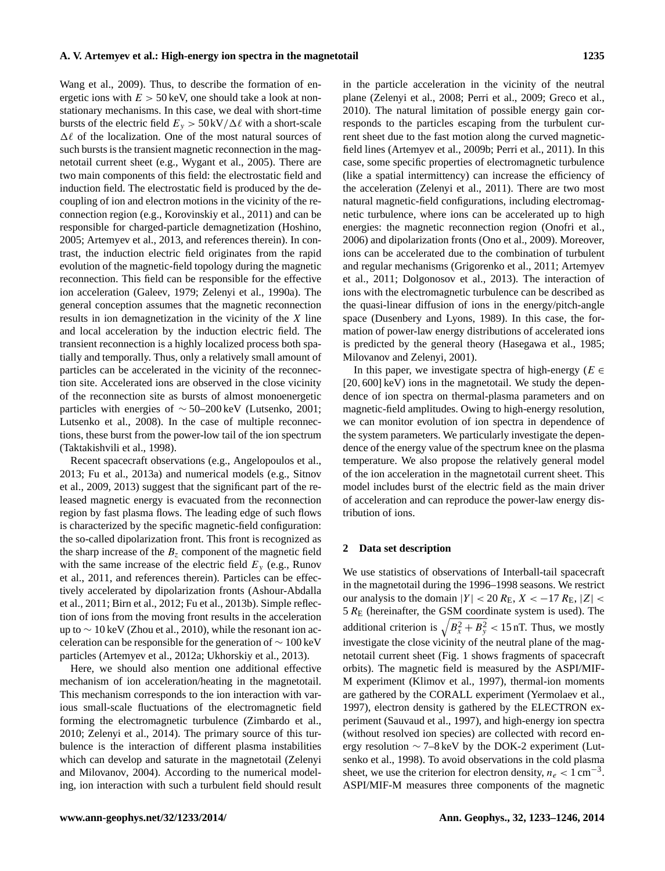[Wang et al.,](#page-12-11) [2009\)](#page-12-11). Thus, to describe the formation of energetic ions with  $E > 50 \,\text{keV}$ , one should take a look at nonstationary mechanisms. In this case, we deal with short-time bursts of the electric field  $E_y > 50 \text{kV}/\Delta \ell$  with a short-scale  $\Delta \ell$  of the localization. One of the most natural sources of such bursts is the transient magnetic reconnection in the magnetotail current sheet (e.g., [Wygant et al.,](#page-12-12) [2005\)](#page-12-12). There are two main components of this field: the electrostatic field and induction field. The electrostatic field is produced by the decoupling of ion and electron motions in the vicinity of the reconnection region (e.g., [Korovinskiy et al.,](#page-10-8) [2011\)](#page-10-8) and can be responsible for charged-particle demagnetization [\(Hoshino,](#page-10-9) [2005;](#page-10-9) [Artemyev et al.,](#page-9-14) [2013,](#page-9-14) and references therein). In contrast, the induction electric field originates from the rapid evolution of the magnetic-field topology during the magnetic reconnection. This field can be responsible for the effective ion acceleration [\(Galeev,](#page-10-10) [1979;](#page-10-10) [Zelenyi et al.,](#page-12-13) [1990a\)](#page-12-13). The general conception assumes that the magnetic reconnection results in ion demagnetization in the vicinity of the X line and local acceleration by the induction electric field. The transient reconnection is a highly localized process both spatially and temporally. Thus, only a relatively small amount of particles can be accelerated in the vicinity of the reconnection site. Accelerated ions are observed in the close vicinity of the reconnection site as bursts of almost monoenergetic particles with energies of ∼ 50–200 keV [\(Lutsenko,](#page-11-10) [2001;](#page-11-10) [Lutsenko et al.,](#page-11-11) [2008\)](#page-11-11). In the case of multiple reconnections, these burst from the power-low tail of the ion spectrum [\(Taktakishvili et al.,](#page-12-14) [1998\)](#page-12-14).

Recent spacecraft observations (e.g., [Angelopoulos et al.,](#page-9-15) [2013;](#page-9-15) [Fu et al.,](#page-10-11) [2013a\)](#page-10-11) and numerical models (e.g., [Sitnov](#page-12-15) [et al.,](#page-12-15) [2009,](#page-12-15) [2013\)](#page-12-16) suggest that the significant part of the released magnetic energy is evacuated from the reconnection region by fast plasma flows. The leading edge of such flows is characterized by the specific magnetic-field configuration: the so-called dipolarization front. This front is recognized as the sharp increase of the  $B_z$  component of the magnetic field with the same increase of the electric field  $E_y$  (e.g., [Runov](#page-11-12) [et al.,](#page-11-12) [2011,](#page-11-12) and references therein). Particles can be effectively accelerated by dipolarization fronts [\(Ashour-Abdalla](#page-9-16) [et al.,](#page-9-16) [2011;](#page-9-16) [Birn et al.,](#page-9-1) [2012;](#page-9-1) [Fu et al.,](#page-10-12) [2013b\)](#page-10-12). Simple reflection of ions from the moving front results in the acceleration up to  $\sim$  10 keV [\(Zhou et al.,](#page-13-1) [2010\)](#page-13-1), while the resonant ion acceleration can be responsible for the generation of ∼ 100 keV particles [\(Artemyev et al.,](#page-9-17) [2012a;](#page-9-17) [Ukhorskiy et al.,](#page-12-17) [2013\)](#page-12-17).

Here, we should also mention one additional effective mechanism of ion acceleration/heating in the magnetotail. This mechanism corresponds to the ion interaction with various small-scale fluctuations of the electromagnetic field forming the electromagnetic turbulence [\(Zimbardo et al.,](#page-13-2) [2010;](#page-13-2) [Zelenyi et al.,](#page-12-18) [2014\)](#page-12-18). The primary source of this turbulence is the interaction of different plasma instabilities which can develop and saturate in the magnetotail [\(Zelenyi](#page-12-19) [and Milovanov,](#page-12-19) [2004\)](#page-12-19). According to the numerical modeling, ion interaction with such a turbulent field should result in the particle acceleration in the vicinity of the neutral plane [\(Zelenyi et al.,](#page-12-20) [2008;](#page-12-20) [Perri et al.,](#page-11-13) [2009;](#page-11-13) [Greco et al.,](#page-10-13) [2010\)](#page-10-13). The natural limitation of possible energy gain corresponds to the particles escaping from the turbulent current sheet due to the fast motion along the curved magneticfield lines [\(Artemyev et al.,](#page-9-18) [2009b;](#page-9-18) [Perri et al.,](#page-11-14) [2011\)](#page-11-14). In this case, some specific properties of electromagnetic turbulence (like a spatial intermittency) can increase the efficiency of the acceleration [\(Zelenyi et al.,](#page-13-3) [2011\)](#page-13-3). There are two most natural magnetic-field configurations, including electromagnetic turbulence, where ions can be accelerated up to high energies: the magnetic reconnection region [\(Onofri et al.,](#page-11-15) [2006\)](#page-11-15) and dipolarization fronts [\(Ono et al.,](#page-11-16) [2009\)](#page-11-16). Moreover, ions can be accelerated due to the combination of turbulent and regular mechanisms [\(Grigorenko et al.,](#page-10-6) [2011;](#page-10-6) [Artemyev](#page-9-19) [et al.,](#page-9-19) [2011;](#page-9-19) [Dolgonosov et al.,](#page-10-14) [2013\)](#page-10-14). The interaction of ions with the electromagnetic turbulence can be described as the quasi-linear diffusion of ions in the energy/pitch-angle space [\(Dusenbery and Lyons,](#page-10-15) [1989\)](#page-10-15). In this case, the formation of power-law energy distributions of accelerated ions is predicted by the general theory [\(Hasegawa et al.,](#page-10-16) [1985;](#page-10-16) [Milovanov and Zelenyi,](#page-11-17) [2001\)](#page-11-17).

In this paper, we investigate spectra of high-energy ( $E \in$ [20,600] keV) ions in the magnetotail. We study the dependence of ion spectra on thermal-plasma parameters and on magnetic-field amplitudes. Owing to high-energy resolution, we can monitor evolution of ion spectra in dependence of the system parameters. We particularly investigate the dependence of the energy value of the spectrum knee on the plasma temperature. We also propose the relatively general model of the ion acceleration in the magnetotail current sheet. This model includes burst of the electric field as the main driver of acceleration and can reproduce the power-law energy distribution of ions.

## **2 Data set description**

We use statistics of observations of Interball-tail spacecraft in the magnetotail during the 1996–1998 seasons. We restrict our analysis to the domain  $|Y| < 20 R_{\rm E}$ ,  $X < -17 R_{\rm E}$ ,  $|Z| <$  $5 R<sub>E</sub>$  (hereinafter, the GSM coordinate system is used). The additional criterion is  $\sqrt{B_x^2 + B_y^2}$  < 15 nT. Thus, we mostly investigate the close vicinity of the neutral plane of the magnetotail current sheet (Fig. [1](#page-3-0) shows fragments of spacecraft orbits). The magnetic field is measured by the ASPI/MIF-M experiment [\(Klimov et al.,](#page-10-17) [1997\)](#page-10-17), thermal-ion moments are gathered by the CORALL experiment [\(Yermolaev et al.,](#page-12-21) [1997\)](#page-12-21), electron density is gathered by the ELECTRON experiment [\(Sauvaud et al.,](#page-12-22) [1997\)](#page-12-22), and high-energy ion spectra (without resolved ion species) are collected with record energy resolution ∼ 7–8 keV by the DOK-2 experiment [\(Lut](#page-11-7)[senko et al.,](#page-11-7) [1998\)](#page-11-7). To avoid observations in the cold plasma sheet, we use the criterion for electron density,  $n_e < 1$  cm<sup>-3</sup>. ASPI/MIF-M measures three components of the magnetic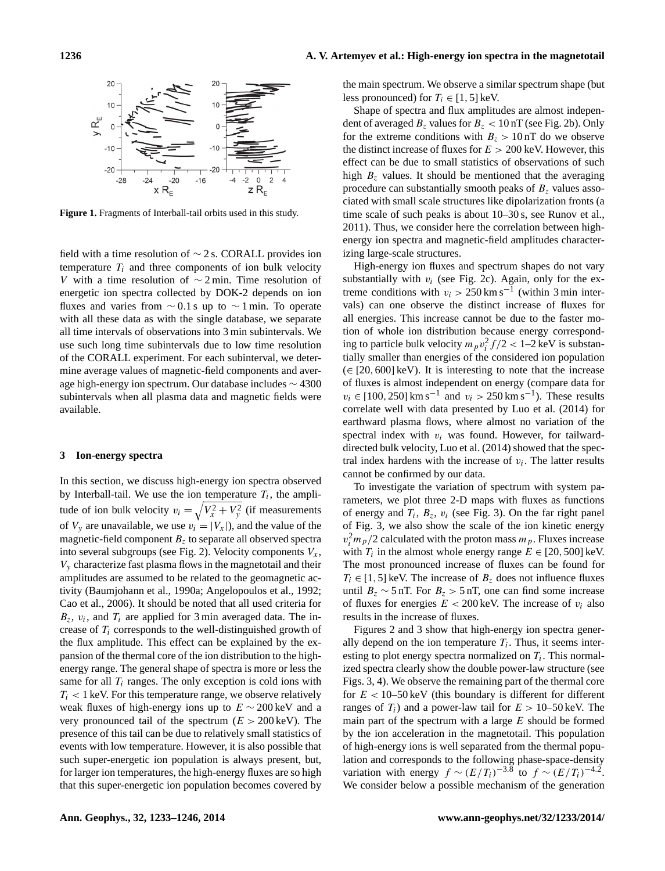

<span id="page-3-0"></span>**Figure 1.** Fragments of Interball-tail orbits used in this study.

field with a time resolution of ∼ 2 s. CORALL provides ion temperature  $T_i$  and three components of ion bulk velocity V with a time resolution of  $\sim$  2 min. Time resolution of energetic ion spectra collected by DOK-2 depends on ion fluxes and varies from  $\sim$  0.1 s up to  $\sim$  1 min. To operate with all these data as with the single database, we separate all time intervals of observations into 3 min subintervals. We use such long time subintervals due to low time resolution of the CORALL experiment. For each subinterval, we determine average values of magnetic-field components and average high-energy ion spectrum. Our database includes ∼ 4300 subintervals when all plasma data and magnetic fields were available.

## **3 Ion-energy spectra**

In this section, we discuss high-energy ion spectra observed by Interball-tail. We use the ion temperature  $T_i$ , the amplitude of ion bulk velocity  $v_i = \sqrt{V_x^2 + V_y^2}$  (if measurements of  $V_y$  are unavailable, we use  $v_i = |V_x|$ , and the value of the magnetic-field component  $B<sub>z</sub>$  to separate all observed spectra into several subgroups (see Fig. [2\)](#page-4-0). Velocity components  $V_x$ ,  $V<sub>y</sub>$  characterize fast plasma flows in the magnetotail and their amplitudes are assumed to be related to the geomagnetic activity [\(Baumjohann et al.,](#page-9-20) [1990a;](#page-9-20) [Angelopoulos et al.,](#page-8-0) [1992;](#page-8-0) [Cao et al.,](#page-9-21) [2006\)](#page-9-21). It should be noted that all used criteria for  $B_z$ ,  $v_i$ , and  $T_i$  are applied for 3 min averaged data. The increase of  $T_i$  corresponds to the well-distinguished growth of the flux amplitude. This effect can be explained by the expansion of the thermal core of the ion distribution to the highenergy range. The general shape of spectra is more or less the same for all  $T_i$  ranges. The only exception is cold ions with  $T<sub>i</sub>$  < 1 keV. For this temperature range, we observe relatively weak fluxes of high-energy ions up to  $E \sim 200 \,\text{keV}$  and a very pronounced tail of the spectrum  $(E > 200 \,\text{keV})$ . The presence of this tail can be due to relatively small statistics of events with low temperature. However, it is also possible that such super-energetic ion population is always present, but, for larger ion temperatures, the high-energy fluxes are so high that this super-energetic ion population becomes covered by the main spectrum. We observe a similar spectrum shape (but less pronounced) for  $T_i \in [1, 5]$  keV.

Shape of spectra and flux amplitudes are almost independent of averaged  $B_z$  values for  $B_z < 10$  nT (see Fig. [2b](#page-4-0)). Only for the extreme conditions with  $B_z > 10$  nT do we observe the distinct increase of fluxes for  $E > 200$  keV. However, this effect can be due to small statistics of observations of such high  $B_z$  values. It should be mentioned that the averaging procedure can substantially smooth peaks of  $B<sub>z</sub>$  values associated with small scale structures like dipolarization fronts (a time scale of such peaks is about 10–30 s, see [Runov et al.,](#page-11-12) [2011\)](#page-11-12). Thus, we consider here the correlation between highenergy ion spectra and magnetic-field amplitudes characterizing large-scale structures.

High-energy ion fluxes and spectrum shapes do not vary substantially with  $v_i$  (see Fig. [2c](#page-4-0)). Again, only for the extreme conditions with  $v_i > 250 \text{ km s}^{-1}$  (within 3 min intervals) can one observe the distinct increase of fluxes for all energies. This increase cannot be due to the faster motion of whole ion distribution because energy corresponding to particle bulk velocity  $m_p v_i^2 f/2 < 1-2 \text{ keV}$  is substantially smaller than energies of the considered ion population  $(\in [20, 600] \text{ keV})$ . It is interesting to note that the increase of fluxes is almost independent on energy (compare data for  $v_i \in [100, 250] \text{ km s}^{-1}$  and  $v_i > 250 \text{ km s}^{-1}$ ). These results correlate well with data presented by [Luo et al.](#page-11-5) [\(2014\)](#page-11-5) for earthward plasma flows, where almost no variation of the spectral index with  $v_i$  was found. However, for tailwarddirected bulk velocity, [Luo et al.](#page-11-5) [\(2014\)](#page-11-5) showed that the spectral index hardens with the increase of  $v_i$ . The latter results cannot be confirmed by our data.

To investigate the variation of spectrum with system parameters, we plot three 2-D maps with fluxes as functions of energy and  $T_i$ ,  $B_z$ ,  $v_i$  (see Fig. [3\)](#page-4-1). On the far right panel of Fig. [3,](#page-4-1) we also show the scale of the ion kinetic energy  $v_i^2 m_p/2$  calculated with the proton mass  $m_p$ . Fluxes increase with  $T_i$  in the almost whole energy range  $E \in [20, 500]$  keV. The most pronounced increase of fluxes can be found for  $T_i \in [1, 5]$  keV. The increase of  $B_z$  does not influence fluxes until  $B_z \sim 5$  nT. For  $B_z > 5$  nT, one can find some increase of fluxes for energies  $E < 200$  keV. The increase of  $v_i$  also results in the increase of fluxes.

Figures [2](#page-4-0) and [3](#page-4-1) show that high-energy ion spectra generally depend on the ion temperature  $T_i$ . Thus, it seems interesting to plot energy spectra normalized on  $T_i$ . This normalized spectra clearly show the double power-law structure (see Figs. [3,](#page-4-1) [4\)](#page-4-2). We observe the remaining part of the thermal core for  $E < 10-50 \,\text{keV}$  (this boundary is different for different ranges of  $T_i$ ) and a power-law tail for  $E > 10-50$  keV. The main part of the spectrum with a large  $E$  should be formed by the ion acceleration in the magnetotail. This population of high-energy ions is well separated from the thermal population and corresponds to the following phase-space-density variation with energy  $f \sim (E/T_i)^{-3.8}$  to  $f \sim (E/T_i)^{-4.2}$ . We consider below a possible mechanism of the generation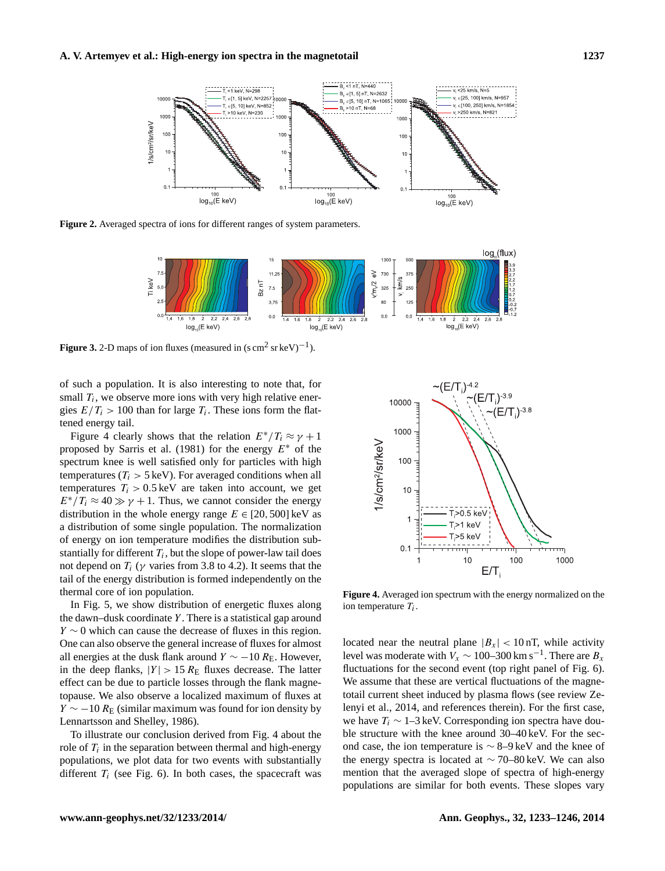

<span id="page-4-0"></span>**Figure 2.** Averaged spectra of ions for different ranges of system parameters.



<span id="page-4-1"></span>**Figure 3.** 2-D maps of ion fluxes (measured in  $(s \text{ cm}^2 \text{ sr} \text{ keV})^{-1}$ ).

of such a population. It is also interesting to note that, for small  $T_i$ , we observe more ions with very high relative energies  $E/T_i > 100$  than for large  $T_i$ . These ions form the flattened energy tail.

Figure [4](#page-4-2) clearly shows that the relation  $E^*/T_i \approx \gamma + 1$ proposed by [Sarris et al.](#page-12-1) [\(1981\)](#page-12-1) for the energy  $E^*$  of the spectrum knee is well satisfied only for particles with high temperatures ( $T_i > 5 \text{ keV}$ ). For averaged conditions when all temperatures  $T_i > 0.5 \,\text{keV}$  are taken into account, we get  $E^*/T_i \approx 40 \gg \gamma + 1$ . Thus, we cannot consider the energy distribution in the whole energy range  $E \in [20, 500]$  keV as a distribution of some single population. The normalization of energy on ion temperature modifies the distribution substantially for different  $T_i$ , but the slope of power-law tail does not depend on  $T_i$  ( $\gamma$  varies from 3.8 to 4.2). It seems that the tail of the energy distribution is formed independently on the thermal core of ion population.

In Fig. [5,](#page-5-0) we show distribution of energetic fluxes along the dawn–dusk coordinate  $Y$ . There is a statistical gap around  $Y \sim 0$  which can cause the decrease of fluxes in this region. One can also observe the general increase of fluxes for almost all energies at the dusk flank around  $Y \sim -10 R_{\rm E}$ . However, in the deep flanks,  $|Y| > 15 R_{\rm E}$  fluxes decrease. The latter effect can be due to particle losses through the flank magnetopause. We also observe a localized maximum of fluxes at  $Y \sim -10 R_{\rm E}$  (similar maximum was found for ion density by [Lennartsson and Shelley,](#page-10-18) [1986\)](#page-10-18).

To illustrate our conclusion derived from Fig. [4](#page-4-2) about the role of  $T_i$  in the separation between thermal and high-energy populations, we plot data for two events with substantially different  $T_i$  (see Fig. [6\)](#page-6-0). In both cases, the spacecraft was



<span id="page-4-2"></span>**Figure 4.** Averaged ion spectrum with the energy normalized on the ion temperature  $T_i$ .

located near the neutral plane  $|B_x| < 10$  nT, while activity level was moderate with  $V_x \sim 100-300$  km s<sup>-1</sup>. There are  $B_x$ fluctuations for the second event (top right panel of Fig. [6\)](#page-6-0). We assume that these are vertical fluctuations of the magnetotail current sheet induced by plasma flows (see review [Ze](#page-12-18)[lenyi et al.,](#page-12-18) [2014,](#page-12-18) and references therein). For the first case, we have  $T_i \sim 1-3$  keV. Corresponding ion spectra have double structure with the knee around 30–40 keV. For the second case, the ion temperature is ∼ 8–9 keV and the knee of the energy spectra is located at ∼ 70–80 keV. We can also mention that the averaged slope of spectra of high-energy populations are similar for both events. These slopes vary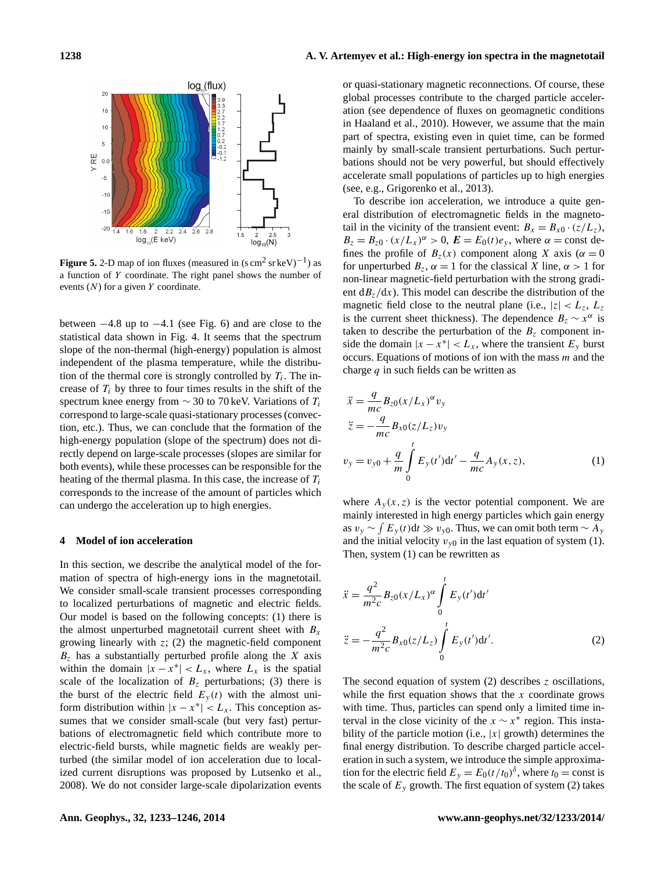

<span id="page-5-0"></span>**Figure 5.** 2-D map of ion fluxes (measured in  $(s \text{ cm}^2 \text{ sr} \text{ keV})^{-1}$ ) as a function of Y coordinate. The right panel shows the number of events  $(N)$  for a given Y coordinate.

between  $-4.8$  up to  $-4.1$  (see Fig. [6\)](#page-6-0) and are close to the statistical data shown in Fig. [4.](#page-4-2) It seems that the spectrum slope of the non-thermal (high-energy) population is almost independent of the plasma temperature, while the distribution of the thermal core is strongly controlled by  $T_i$ . The increase of  $T_i$  by three to four times results in the shift of the spectrum knee energy from  $\sim$  30 to 70 keV. Variations of  $T_i$ correspond to large-scale quasi-stationary processes (convection, etc.). Thus, we can conclude that the formation of the high-energy population (slope of the spectrum) does not directly depend on large-scale processes (slopes are similar for both events), while these processes can be responsible for the heating of the thermal plasma. In this case, the increase of  $T_i$ corresponds to the increase of the amount of particles which can undergo the acceleration up to high energies.

### **4 Model of ion acceleration**

In this section, we describe the analytical model of the formation of spectra of high-energy ions in the magnetotail. We consider small-scale transient processes corresponding to localized perturbations of magnetic and electric fields. Our model is based on the following concepts: (1) there is the almost unperturbed magnetotail current sheet with  $B_x$ growing linearly with  $z$ ; (2) the magnetic-field component  $B<sub>z</sub>$  has a substantially perturbed profile along the X axis within the domain  $|x - x^*| < L_x$ , where  $L_x$  is the spatial scale of the localization of  $B<sub>z</sub>$  perturbations; (3) there is the burst of the electric field  $E_y(t)$  with the almost uniform distribution within  $|x - x^*| < L_x$ . This conception assumes that we consider small-scale (but very fast) perturbations of electromagnetic field which contribute more to electric-field bursts, while magnetic fields are weakly perturbed (the similar model of ion acceleration due to localized current disruptions was proposed by [Lutsenko et al.,](#page-11-11) [2008\)](#page-11-11). We do not consider large-scale dipolarization events or quasi-stationary magnetic reconnections. Of course, these global processes contribute to the charged particle acceleration (see dependence of fluxes on geomagnetic conditions in [Haaland et al.,](#page-10-3) [2010\)](#page-10-3). However, we assume that the main part of spectra, existing even in quiet time, can be formed mainly by small-scale transient perturbations. Such perturbations should not be very powerful, but should effectively accelerate small populations of particles up to high energies (see, e.g., [Grigorenko et al.,](#page-10-19) [2013\)](#page-10-19).

To describe ion acceleration, we introduce a quite general distribution of electromagnetic fields in the magnetotail in the vicinity of the transient event:  $B_x = B_{x0} \cdot (z/L_z)$ ,  $B_z = B_{z0} \cdot (x/L_x)^{\alpha} > 0$ ,  $E = E_0(t)e_y$ , where  $\alpha = \text{const}$  defines the profile of  $B_z(x)$  component along X axis ( $\alpha = 0$ for unperturbed  $B_z$ ,  $\alpha = 1$  for the classical X line,  $\alpha > 1$  for non-linear magnetic-field perturbation with the strong gradient  $dB_z/dx$ ). This model can describe the distribution of the magnetic field close to the neutral plane (i.e.,  $|z| < L_z$ ,  $L_z$ is the current sheet thickness). The dependence  $B_z \sim x^{\alpha}$  is taken to describe the perturbation of the  $B<sub>z</sub>$  component inside the domain  $|x - x^*| < L_x$ , where the transient  $E_y$  burst occurs. Equations of motions of ion with the mass  $m$  and the charge  $q$  in such fields can be written as

<span id="page-5-1"></span>
$$
\ddot{x} = \frac{q}{mc} B_{z0} (x/L_x)^{\alpha} v_y \n\ddot{z} = -\frac{q}{mc} B_{x0} (z/L_z) v_y \n v_y = v_{y0} + \frac{q}{m} \int_0^t E_y(t') dt' - \frac{q}{mc} A_y(x, z),
$$
\n(1)

where  $A_y(x, z)$  is the vector potential component. We are mainly interested in high energy particles which gain energy as  $v_y \sim \int E_y(t) dt \gg v_{y0}$ . Thus, we can omit both term  $\sim A_y$ and the initial velocity  $v_{v0}$  in the last equation of system [\(1\)](#page-5-1). Then, system [\(1\)](#page-5-1) can be rewritten as

$$
\ddot{x} = \frac{q^2}{m^2 c} B_{z0} (x/L_x)^{\alpha} \int_0^t E_y(t') dt'
$$
  

$$
\ddot{z} = -\frac{q^2}{m^2 c} B_{x0} (z/L_z) \int_0^t E_y(t') dt'.
$$
 (2)

<span id="page-5-2"></span>The second equation of system [\(2\)](#page-5-2) describes z oscillations, while the first equation shows that the  $x$  coordinate grows with time. Thus, particles can spend only a limited time interval in the close vicinity of the  $x \sim x^*$  region. This instability of the particle motion (i.e.,  $|x|$  growth) determines the final energy distribution. To describe charged particle acceleration in such a system, we introduce the simple approximation for the electric field  $E_y = E_0(t/t_0)^\delta$ , where  $t_0 = \text{const}$  is the scale of  $E_y$  growth. The first equation of system [\(2\)](#page-5-2) takes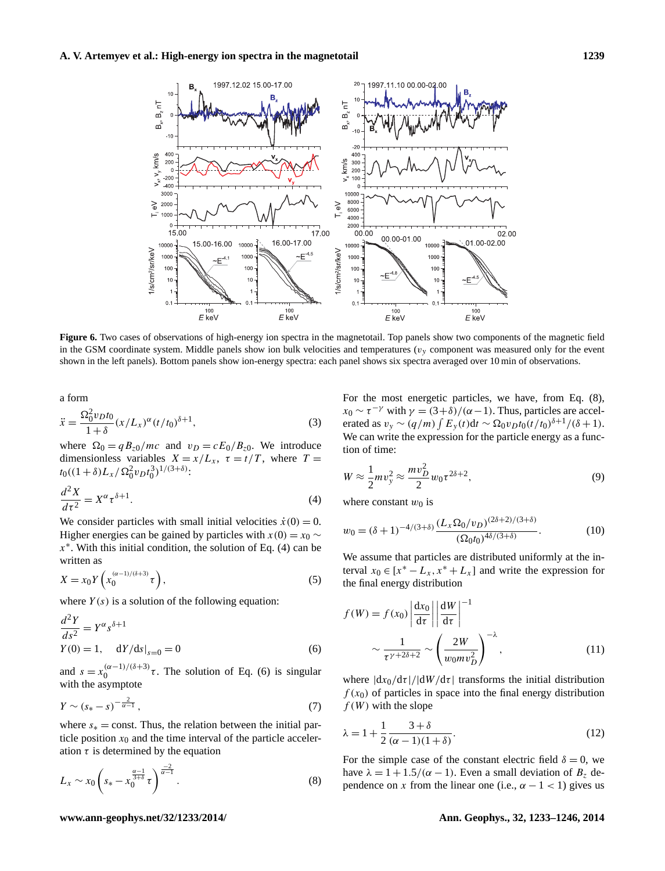

<span id="page-6-0"></span>**Figure 6.** Two cases of observations of high-energy ion spectra in the magnetotail. Top panels show two components of the magnetic field in the GSM coordinate system. Middle panels show ion bulk velocities and temperatures ( $v<sub>y</sub>$  component was measured only for the event shown in the left panels). Bottom panels show ion-energy spectra: each panel shows six spectra averaged over 10 min of observations.

a form

$$
\ddot{x} = \frac{\Omega_0^2 v_D t_0}{1 + \delta} (x/L_x)^{\alpha} (t/t_0)^{\delta + 1},
$$
\n(3)

where  $\Omega_0 = q B_{z0}/mc$  and  $v_D = cE_0/B_{z0}$ . We introduce dimensionless variables  $X = x/L_x$ ,  $\tau = t/T$ , where  $T =$  $t_0((1+\delta)L_x/\Omega_0^2v_Dt_0^3)^{1/(3+\delta)}$ :

<span id="page-6-1"></span>
$$
\frac{d^2X}{d\tau^2} = X^{\alpha} \tau^{\delta+1}.
$$
 (4)

We consider particles with small initial velocities  $\dot{x}(0) = 0$ . Higher energies can be gained by particles with  $x(0) = x_0$  ∼  $x^*$ . With this initial condition, the solution of Eq. [\(4\)](#page-6-1) can be written as

$$
X = x_0 Y \left( x_0^{(\alpha - 1)/(\delta + 3)} \tau \right),\tag{5}
$$

where  $Y(s)$  is a solution of the following equation:

$$
\frac{d^2Y}{ds^2} = Y^{\alpha} s^{\delta+1}
$$
  
  $Y(0) = 1$ ,  $dY/ds|_{s=0} = 0$  (6)

and  $s = x_0^{(\alpha - 1)/(\delta + 3)}$  $\int_0^{(\alpha-1)/(\delta+3)} \tau$ . The solution of Eq. [\(6\)](#page-6-2) is singular with the asymptote

$$
Y \sim (s_* - s)^{-\frac{2}{\alpha - 1}},\tag{7}
$$

where  $s_* = \text{const.}$  Thus, the relation between the initial particle position  $x_0$  and the time interval of the particle acceleration  $\tau$  is determined by the equation

$$
L_x \sim x_0 \left( s_* - x_0^{\frac{\alpha - 1}{3 + \delta}} \tau \right)^{\frac{-2}{\alpha - 1}}.
$$
 (8)

For the most energetic particles, we have, from Eq. [\(8\)](#page-6-3),  $x_0 \sim \tau^{-\gamma}$  with  $\gamma = (3+\delta)/(\alpha-1)$ . Thus, particles are accelerated as  $v_y \sim (q/m) \int E_y(t) dt \sim \Omega_0 v_D t_0 (t/t_0)^{\delta+1} / (\delta+1)$ . We can write the expression for the particle energy as a function of time:

$$
W \approx \frac{1}{2} m v_y^2 \approx \frac{m v_D^2}{2} w_0 \tau^{2\delta + 2},
$$
\n(9)

where constant  $w_0$  is

$$
w_0 = (\delta + 1)^{-4/(3+\delta)} \frac{(L_x \Omega_0 / v_D)^{(2\delta + 2)/(3+\delta)}}{(\Omega_0 t_0)^{4\delta/(3+\delta)}}.
$$
 (10)

We assume that particles are distributed uniformly at the interval  $x_0 \in [x^* - L_x, x^* + L_x]$  and write the expression for the final energy distribution

<span id="page-6-2"></span>
$$
f(W) = f(x_0) \left| \frac{dx_0}{d\tau} \right| \left| \frac{dW}{d\tau} \right|^{-1}
$$

$$
\sim \frac{1}{\tau^{\gamma + 2\delta + 2}} \sim \left( \frac{2W}{w_0 m v_D^2} \right)^{-\lambda}, \tag{11}
$$

where  $|dx_0/d\tau|/|dW/d\tau|$  transforms the initial distribution  $f(x_0)$  of particles in space into the final energy distribution  $f(W)$  with the slope

<span id="page-6-4"></span>
$$
\lambda = 1 + \frac{1}{2} \frac{3+\delta}{(\alpha-1)(1+\delta)}.
$$
\n(12)

<span id="page-6-3"></span>For the simple case of the constant electric field  $\delta = 0$ , we have  $\lambda = 1 + 1.5/(\alpha - 1)$ . Even a small deviation of  $B_z$  dependence on x from the linear one (i.e.,  $\alpha - 1 < 1$ ) gives us

#### **www.ann-geophys.net/32/1233/2014/ Ann. Geophys., 32, 1233[–1246,](#page-0-0) 2014**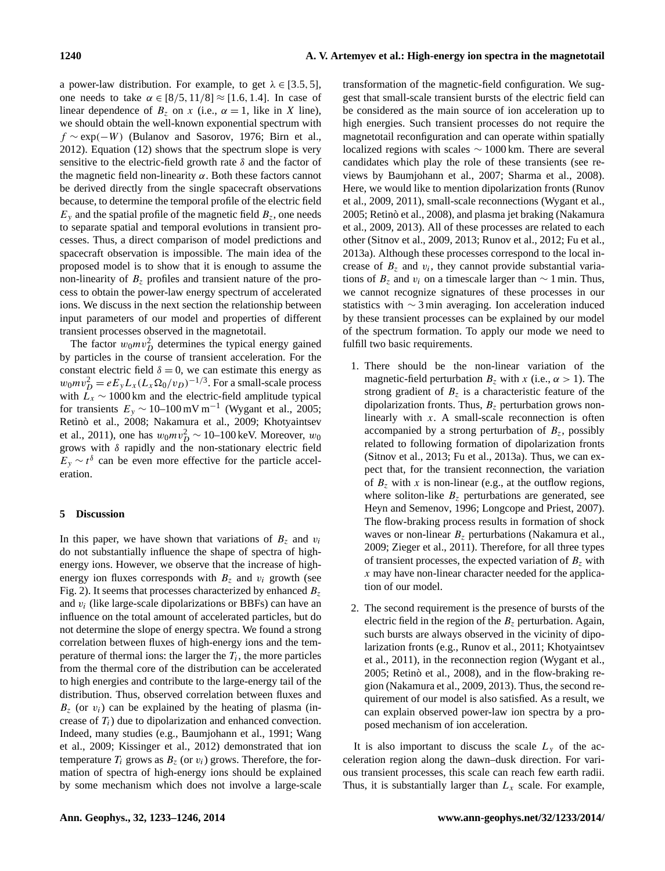a power-law distribution. For example, to get  $\lambda \in [3.5, 5]$ , one needs to take  $\alpha \in [8/5, 11/8] \approx [1.6, 1.4]$ . In case of linear dependence of  $B_7$  on x (i.e.,  $\alpha = 1$ , like in X line), we should obtain the well-known exponential spectrum with  $f \sim \exp(-W)$  [\(Bulanov and Sasorov,](#page-9-22) [1976;](#page-9-22) [Birn et al.,](#page-9-1) [2012\)](#page-9-1). Equation [\(12\)](#page-6-4) shows that the spectrum slope is very sensitive to the electric-field growth rate  $\delta$  and the factor of the magnetic field non-linearity  $\alpha$ . Both these factors cannot be derived directly from the single spacecraft observations because, to determine the temporal profile of the electric field  $E_y$  and the spatial profile of the magnetic field  $B_z$ , one needs to separate spatial and temporal evolutions in transient processes. Thus, a direct comparison of model predictions and spacecraft observation is impossible. The main idea of the proposed model is to show that it is enough to assume the non-linearity of  $B<sub>z</sub>$  profiles and transient nature of the process to obtain the power-law energy spectrum of accelerated ions. We discuss in the next section the relationship between input parameters of our model and properties of different transient processes observed in the magnetotail.

The factor  $w_0mv_D^2$  determines the typical energy gained by particles in the course of transient acceleration. For the constant electric field  $\delta = 0$ , we can estimate this energy as  $w_0mv_D^2 = eE_yL_x(L_x\Omega_0/v_D)^{-1/3}$ . For a small-scale process with  $L_x \sim 1000 \text{ km}$  and the electric-field amplitude typical for transients  $E_y \sim 10$ –100 mV m<sup>-1</sup> [\(Wygant et al.,](#page-12-12) [2005;](#page-12-12) [Retinò et al.,](#page-11-18) [2008;](#page-11-18) [Nakamura et al.,](#page-11-19) [2009;](#page-11-19) [Khotyaintsev](#page-10-20) [et al.,](#page-10-20) [2011\)](#page-10-20), one has  $w_0mv_D^2 \sim 10$ –100 keV. Moreover,  $w_0$ grows with  $\delta$  rapidly and the non-stationary electric field  $E_y \sim t^{\delta}$  can be even more effective for the particle acceleration.

# **5 Discussion**

In this paper, we have shown that variations of  $B_z$  and  $v_i$ do not substantially influence the shape of spectra of highenergy ions. However, we observe that the increase of highenergy ion fluxes corresponds with  $B_z$  and  $v_i$  growth (see Fig. [2\)](#page-4-0). It seems that processes characterized by enhanced  $B_z$ and  $v_i$  (like large-scale dipolarizations or BBFs) can have an influence on the total amount of accelerated particles, but do not determine the slope of energy spectra. We found a strong correlation between fluxes of high-energy ions and the temperature of thermal ions: the larger the  $T_i$ , the more particles from the thermal core of the distribution can be accelerated to high energies and contribute to the large-energy tail of the distribution. Thus, observed correlation between fluxes and  $B_z$  (or  $v_i$ ) can be explained by the heating of plasma (increase of  $T_i$ ) due to dipolarization and enhanced convection. Indeed, many studies (e.g., [Baumjohann et al.,](#page-9-23) [1991;](#page-9-23) [Wang](#page-12-11) [et al.,](#page-12-11) [2009;](#page-12-11) [Kissinger et al.,](#page-10-21) [2012\)](#page-10-21) demonstrated that ion temperature  $T_i$  grows as  $B_z$  (or  $v_i$ ) grows. Therefore, the formation of spectra of high-energy ions should be explained by some mechanism which does not involve a large-scale transformation of the magnetic-field configuration. We suggest that small-scale transient bursts of the electric field can be considered as the main source of ion acceleration up to high energies. Such transient processes do not require the magnetotail reconfiguration and can operate within spatially localized regions with scales ∼ 1000 km. There are several candidates which play the role of these transients (see reviews by [Baumjohann et al.,](#page-9-24) [2007;](#page-9-24) [Sharma et al.,](#page-12-23) [2008\)](#page-12-23). Here, we would like to mention dipolarization fronts [\(Runov](#page-11-20) [et al.,](#page-11-20) [2009,](#page-11-20) [2011\)](#page-11-12), small-scale reconnections [\(Wygant et al.,](#page-12-12) [2005;](#page-12-12) [Retinò et al.,](#page-11-18) [2008\)](#page-11-18), and plasma jet braking [\(Nakamura](#page-11-19) [et al.,](#page-11-19) [2009,](#page-11-19) [2013\)](#page-11-21). All of these processes are related to each other [\(Sitnov et al.,](#page-12-15) [2009,](#page-12-15) [2013;](#page-12-16) [Runov et al.,](#page-11-22) [2012;](#page-11-22) [Fu et al.,](#page-10-11) [2013a\)](#page-10-11). Although these processes correspond to the local increase of  $B_z$  and  $v_i$ , they cannot provide substantial variations of  $B_z$  and  $v_i$  on a timescale larger than  $\sim 1$  min. Thus, we cannot recognize signatures of these processes in our statistics with ∼ 3 min averaging. Ion acceleration induced by these transient processes can be explained by our model of the spectrum formation. To apply our mode we need to fulfill two basic requirements.

- 1. There should be the non-linear variation of the magnetic-field perturbation  $B_z$  with x (i.e.,  $\alpha > 1$ ). The strong gradient of  $B_z$  is a characteristic feature of the dipolarization fronts. Thus,  $B<sub>z</sub>$  perturbation grows nonlinearly with  $x$ . A small-scale reconnection is often accompanied by a strong perturbation of  $B<sub>z</sub>$ , possibly related to following formation of dipolarization fronts [\(Sitnov et al.,](#page-12-16) [2013;](#page-12-16) [Fu et al.,](#page-10-11) [2013a\)](#page-10-11). Thus, we can expect that, for the transient reconnection, the variation of  $B_z$  with x is non-linear (e.g., at the outflow regions, where soliton-like  $B<sub>z</sub>$  perturbations are generated, see [Heyn and Semenov,](#page-10-22) [1996;](#page-10-22) [Longcope and Priest,](#page-11-23) [2007\)](#page-11-23). The flow-braking process results in formation of shock waves or non-linear  $B<sub>z</sub>$  perturbations [\(Nakamura et al.,](#page-11-19) [2009;](#page-11-19) [Zieger et al.,](#page-13-4) [2011\)](#page-13-4). Therefore, for all three types of transient processes, the expected variation of  $B<sub>z</sub>$  with  $x$  may have non-linear character needed for the application of our model.
- 2. The second requirement is the presence of bursts of the electric field in the region of the  $B_z$  perturbation. Again, such bursts are always observed in the vicinity of dipolarization fronts (e.g., [Runov et al.,](#page-11-12) [2011;](#page-11-12) [Khotyaintsev](#page-10-20) [et al.,](#page-10-20) [2011\)](#page-10-20), in the reconnection region [\(Wygant et al.,](#page-12-12) [2005;](#page-12-12) [Retinò et al.,](#page-11-18) [2008\)](#page-11-18), and in the flow-braking region [\(Nakamura et al.,](#page-11-19) [2009,](#page-11-19) [2013\)](#page-11-21). Thus, the second requirement of our model is also satisfied. As a result, we can explain observed power-law ion spectra by a proposed mechanism of ion acceleration.

It is also important to discuss the scale  $L<sub>v</sub>$  of the acceleration region along the dawn–dusk direction. For various transient processes, this scale can reach few earth radii. Thus, it is substantially larger than  $L_x$  scale. For example,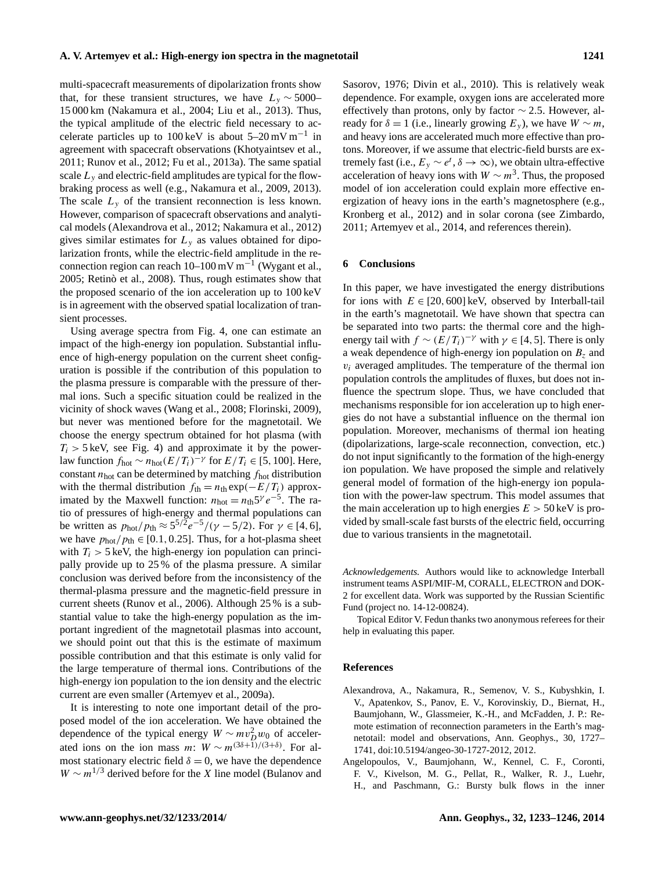multi-spacecraft measurements of dipolarization fronts show that, for these transient structures, we have  $L_y \sim 5000-$ 15 000 km [\(Nakamura et al.,](#page-11-24) [2004;](#page-11-24) [Liu et al.,](#page-10-23) [2013\)](#page-10-23). Thus, the typical amplitude of the electric field necessary to accelerate particles up to  $100 \,\text{keV}$  is about  $5-20 \,\text{mV m}^{-1}$  in agreement with spacecraft observations [\(Khotyaintsev et al.,](#page-10-20) [2011;](#page-10-20) [Runov et al.,](#page-11-22) [2012;](#page-11-22) [Fu et al.,](#page-10-11) [2013a\)](#page-10-11). The same spatial scale  $L<sub>y</sub>$  and electric-field amplitudes are typical for the flowbraking process as well (e.g., [Nakamura et al.,](#page-11-19) [2009,](#page-11-19) [2013\)](#page-11-21). The scale  $L<sub>v</sub>$  of the transient reconnection is less known. However, comparison of spacecraft observations and analytical models [\(Alexandrova et al.,](#page-8-1) [2012;](#page-8-1) [Nakamura et al.,](#page-11-25) [2012\)](#page-11-25) gives similar estimates for  $L<sub>v</sub>$  as values obtained for dipolarization fronts, while the electric-field amplitude in the reconnection region can reach  $10-100$  mV m<sup>-1</sup> [\(Wygant et al.,](#page-12-12) [2005;](#page-12-12) [Retinò et al.,](#page-11-18) [2008\)](#page-11-18). Thus, rough estimates show that the proposed scenario of the ion acceleration up to 100 keV is in agreement with the observed spatial localization of transient processes.

Using average spectra from Fig. [4,](#page-4-2) one can estimate an impact of the high-energy ion population. Substantial influence of high-energy population on the current sheet configuration is possible if the contribution of this population to the plasma pressure is comparable with the pressure of thermal ions. Such a specific situation could be realized in the vicinity of shock waves [\(Wang et al.,](#page-12-24) [2008;](#page-12-24) [Florinski,](#page-10-24) [2009\)](#page-10-24), but never was mentioned before for the magnetotail. We choose the energy spectrum obtained for hot plasma (with  $T_i > 5$  keV, see Fig. [4\)](#page-4-2) and approximate it by the powerlaw function  $f_{\text{hot}} \sim n_{\text{hot}} (E/T_i)^{-\gamma}$  for  $E/T_i \in [5, 100]$ . Here, constant  $n_{hot}$  can be determined by matching  $f_{hot}$  distribution with the thermal distribution  $f_{\text{th}} = n_{\text{th}} \exp(-E/T_i)$  approximated by the Maxwell function:  $n_{hot} = n_{th} 5^{\gamma} e^{-5}$ . The ratio of pressures of high-energy and thermal populations can be written as  $p_{\text{hot}}/p_{\text{th}} \approx 5^{5/2} e^{-5}/(\gamma - 5/2)$ . For  $\gamma \in [4, 6]$ , we have  $p_{hot}/p_{th} \in [0.1, 0.25]$ . Thus, for a hot-plasma sheet with  $T_i > 5$  keV, the high-energy ion population can principally provide up to 25 % of the plasma pressure. A similar conclusion was derived before from the inconsistency of the thermal-plasma pressure and the magnetic-field pressure in current sheets [\(Runov et al.,](#page-11-26) [2006\)](#page-11-26). Although 25 % is a substantial value to take the high-energy population as the important ingredient of the magnetotail plasmas into account, we should point out that this is the estimate of maximum possible contribution and that this estimate is only valid for the large temperature of thermal ions. Contributions of the high-energy ion population to the ion density and the electric current are even smaller [\(Artemyev et al.,](#page-9-25) [2009a\)](#page-9-25).

It is interesting to note one important detail of the proposed model of the ion acceleration. We have obtained the dependence of the typical energy  $W \sim m v_D^2 w_0$  of accelerated ions on the ion mass m:  $W \sim m^{(3\delta+1)/(3+\delta)}$ . For almost stationary electric field  $\delta = 0$ , we have the dependence  $W \sim m^{1/3}$  derived before for the X line model [\(Bulanov and](#page-9-22) [Sasorov,](#page-9-22) [1976;](#page-9-22) [Divin et al.,](#page-9-26) [2010\)](#page-9-26). This is relatively weak dependence. For example, oxygen ions are accelerated more effectively than protons, only by factor  $\sim$  2.5. However, already for  $\delta = 1$  (i.e., linearly growing  $E_y$ ), we have  $W \sim m$ , and heavy ions are accelerated much more effective than protons. Moreover, if we assume that electric-field bursts are extremely fast (i.e.,  $E_y \sim e^t$ ,  $\delta \to \infty$ ), we obtain ultra-effective acceleration of heavy ions with  $W \sim m^3$ . Thus, the proposed model of ion acceleration could explain more effective energization of heavy ions in the earth's magnetosphere (e.g., [Kronberg et al.,](#page-10-25) [2012\)](#page-10-25) and in solar corona (see [Zimbardo,](#page-13-5) [2011;](#page-13-5) [Artemyev et al.,](#page-9-27) [2014,](#page-9-27) and references therein).

## **6 Conclusions**

In this paper, we have investigated the energy distributions for ions with  $E \in [20, 600]$  keV, observed by Interball-tail in the earth's magnetotail. We have shown that spectra can be separated into two parts: the thermal core and the highenergy tail with  $f \sim (E/T_i)^{-\gamma}$  with  $\gamma \in [4, 5]$ . There is only a weak dependence of high-energy ion population on  $B<sub>z</sub>$  and  $v_i$  averaged amplitudes. The temperature of the thermal ion population controls the amplitudes of fluxes, but does not influence the spectrum slope. Thus, we have concluded that mechanisms responsible for ion acceleration up to high energies do not have a substantial influence on the thermal ion population. Moreover, mechanisms of thermal ion heating (dipolarizations, large-scale reconnection, convection, etc.) do not input significantly to the formation of the high-energy ion population. We have proposed the simple and relatively general model of formation of the high-energy ion population with the power-law spectrum. This model assumes that the main acceleration up to high energies  $E > 50 \,\text{keV}$  is provided by small-scale fast bursts of the electric field, occurring due to various transients in the magnetotail.

*Acknowledgements.* Authors would like to acknowledge Interball instrument teams ASPI/MIF-M, CORALL, ELECTRON and DOK-2 for excellent data. Work was supported by the Russian Scientific Fund (project no. 14-12-00824).

Topical Editor V. Fedun thanks two anonymous referees for their help in evaluating this paper.

#### **References**

- <span id="page-8-1"></span>Alexandrova, A., Nakamura, R., Semenov, V. S., Kubyshkin, I. V., Apatenkov, S., Panov, E. V., Korovinskiy, D., Biernat, H., Baumjohann, W., Glassmeier, K.-H., and McFadden, J. P.: Remote estimation of reconnection parameters in the Earth's magnetotail: model and observations, Ann. Geophys., 30, 1727– 1741, doi[:10.5194/angeo-30-1727-2012,](http://dx.doi.org/10.5194/angeo-30-1727-2012) 2012.
- <span id="page-8-0"></span>Angelopoulos, V., Baumjohann, W., Kennel, C. F., Coronti, F. V., Kivelson, M. G., Pellat, R., Walker, R. J., Luehr, H., and Paschmann, G.: Bursty bulk flows in the inner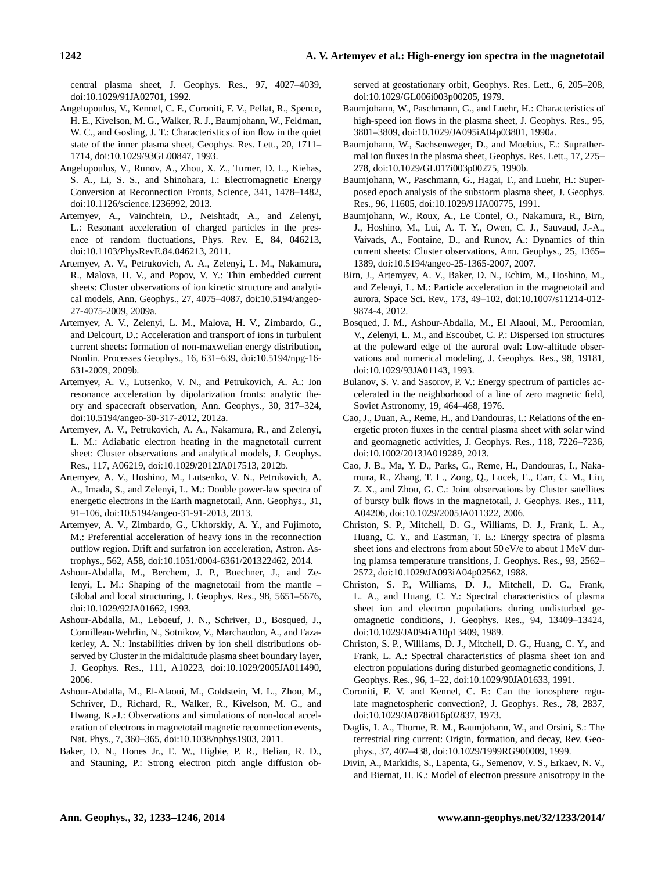central plasma sheet, J. Geophys. Res., 97, 4027–4039, doi[:10.1029/91JA02701,](http://dx.doi.org/10.1029/91JA02701) 1992.

- <span id="page-9-13"></span>Angelopoulos, V., Kennel, C. F., Coroniti, F. V., Pellat, R., Spence, H. E., Kivelson, M. G., Walker, R. J., Baumjohann, W., Feldman, W. C., and Gosling, J. T.: Characteristics of ion flow in the quiet state of the inner plasma sheet, Geophys. Res. Lett., 20, 1711– 1714, doi[:10.1029/93GL00847,](http://dx.doi.org/10.1029/93GL00847) 1993.
- <span id="page-9-15"></span>Angelopoulos, V., Runov, A., Zhou, X. Z., Turner, D. L., Kiehas, S. A., Li, S. S., and Shinohara, I.: Electromagnetic Energy Conversion at Reconnection Fronts, Science, 341, 1478–1482, doi[:10.1126/science.1236992,](http://dx.doi.org/10.1126/science.1236992) 2013.
- <span id="page-9-19"></span>Artemyev, A., Vainchtein, D., Neishtadt, A., and Zelenyi, L.: Resonant acceleration of charged particles in the presence of random fluctuations, Phys. Rev. E, 84, 046213, doi[:10.1103/PhysRevE.84.046213,](http://dx.doi.org/10.1103/PhysRevE.84.046213) 2011.
- <span id="page-9-25"></span>Artemyev, A. V., Petrukovich, A. A., Zelenyi, L. M., Nakamura, R., Malova, H. V., and Popov, V. Y.: Thin embedded current sheets: Cluster observations of ion kinetic structure and analytical models, Ann. Geophys., 27, 4075–4087, doi[:10.5194/angeo-](http://dx.doi.org/10.5194/angeo-27-4075-2009)[27-4075-2009,](http://dx.doi.org/10.5194/angeo-27-4075-2009) 2009a.
- <span id="page-9-18"></span>Artemyev, A. V., Zelenyi, L. M., Malova, H. V., Zimbardo, G., and Delcourt, D.: Acceleration and transport of ions in turbulent current sheets: formation of non-maxwelian energy distribution, Nonlin. Processes Geophys., 16, 631–639, doi[:10.5194/npg-16-](http://dx.doi.org/10.5194/npg-16-631-2009) [631-2009,](http://dx.doi.org/10.5194/npg-16-631-2009) 2009b.
- <span id="page-9-17"></span>Artemyev, A. V., Lutsenko, V. N., and Petrukovich, A. A.: Ion resonance acceleration by dipolarization fronts: analytic theory and spacecraft observation, Ann. Geophys., 30, 317–324, doi[:10.5194/angeo-30-317-2012,](http://dx.doi.org/10.5194/angeo-30-317-2012) 2012a.
- <span id="page-9-12"></span>Artemyev, A. V., Petrukovich, A. A., Nakamura, R., and Zelenyi, L. M.: Adiabatic electron heating in the magnetotail current sheet: Cluster observations and analytical models, J. Geophys. Res., 117, A06219, doi[:10.1029/2012JA017513,](http://dx.doi.org/10.1029/2012JA017513) 2012b.
- <span id="page-9-14"></span>Artemyev, A. V., Hoshino, M., Lutsenko, V. N., Petrukovich, A. A., Imada, S., and Zelenyi, L. M.: Double power-law spectra of energetic electrons in the Earth magnetotail, Ann. Geophys., 31, 91–106, doi[:10.5194/angeo-31-91-2013,](http://dx.doi.org/10.5194/angeo-31-91-2013) 2013.
- <span id="page-9-27"></span>Artemyev, A. V., Zimbardo, G., Ukhorskiy, A. Y., and Fujimoto, M.: Preferential acceleration of heavy ions in the reconnection outflow region. Drift and surfatron ion acceleration, Astron. Astrophys., 562, A58, doi[:10.1051/0004-6361/201322462,](http://dx.doi.org/10.1051/0004-6361/201322462) 2014.
- <span id="page-9-9"></span>Ashour-Abdalla, M., Berchem, J. P., Buechner, J., and Zelenyi, L. M.: Shaping of the magnetotail from the mantle – Global and local structuring, J. Geophys. Res., 98, 5651–5676, doi[:10.1029/92JA01662,](http://dx.doi.org/10.1029/92JA01662) 1993.
- <span id="page-9-11"></span>Ashour-Abdalla, M., Leboeuf, J. N., Schriver, D., Bosqued, J., Cornilleau-Wehrlin, N., Sotnikov, V., Marchaudon, A., and Fazakerley, A. N.: Instabilities driven by ion shell distributions observed by Cluster in the midaltitude plasma sheet boundary layer, J. Geophys. Res., 111, A10223, doi[:10.1029/2005JA011490,](http://dx.doi.org/10.1029/2005JA011490) 2006.
- <span id="page-9-16"></span>Ashour-Abdalla, M., El-Alaoui, M., Goldstein, M. L., Zhou, M., Schriver, D., Richard, R., Walker, R., Kivelson, M. G., and Hwang, K.-J.: Observations and simulations of non-local acceleration of electrons in magnetotail magnetic reconnection events, Nat. Phys., 7, 360–365, doi[:10.1038/nphys1903,](http://dx.doi.org/10.1038/nphys1903) 2011.
- <span id="page-9-2"></span>Baker, D. N., Hones Jr., E. W., Higbie, P. R., Belian, R. D., and Stauning, P.: Strong electron pitch angle diffusion ob-

served at geostationary orbit, Geophys. Res. Lett., 6, 205–208, doi[:10.1029/GL006i003p00205,](http://dx.doi.org/10.1029/GL006i003p00205) 1979.

- <span id="page-9-20"></span>Baumjohann, W., Paschmann, G., and Luehr, H.: Characteristics of high-speed ion flows in the plasma sheet, J. Geophys. Res., 95, 3801–3809, doi[:10.1029/JA095iA04p03801,](http://dx.doi.org/10.1029/JA095iA04p03801) 1990a.
- <span id="page-9-3"></span>Baumjohann, W., Sachsenweger, D., and Moebius, E.: Suprathermal ion fluxes in the plasma sheet, Geophys. Res. Lett., 17, 275– 278, doi[:10.1029/GL017i003p00275,](http://dx.doi.org/10.1029/GL017i003p00275) 1990b.
- <span id="page-9-23"></span>Baumjohann, W., Paschmann, G., Hagai, T., and Luehr, H.: Superposed epoch analysis of the substorm plasma sheet, J. Geophys. Res., 96, 11605, doi[:10.1029/91JA00775,](http://dx.doi.org/10.1029/91JA00775) 1991.
- <span id="page-9-24"></span>Baumjohann, W., Roux, A., Le Contel, O., Nakamura, R., Birn, J., Hoshino, M., Lui, A. T. Y., Owen, C. J., Sauvaud, J.-A., Vaivads, A., Fontaine, D., and Runov, A.: Dynamics of thin current sheets: Cluster observations, Ann. Geophys., 25, 1365– 1389, doi[:10.5194/angeo-25-1365-2007,](http://dx.doi.org/10.5194/angeo-25-1365-2007) 2007.
- <span id="page-9-1"></span>Birn, J., Artemyev, A. V., Baker, D. N., Echim, M., Hoshino, M., and Zelenyi, L. M.: Particle acceleration in the magnetotail and aurora, Space Sci. Rev., 173, 49–102, doi[:10.1007/s11214-012-](http://dx.doi.org/10.1007/s11214-012-9874-4) [9874-4,](http://dx.doi.org/10.1007/s11214-012-9874-4) 2012.
- <span id="page-9-10"></span>Bosqued, J. M., Ashour-Abdalla, M., El Alaoui, M., Peroomian, V., Zelenyi, L. M., and Escoubet, C. P.: Dispersed ion structures at the poleward edge of the auroral oval: Low-altitude observations and numerical modeling, J. Geophys. Res., 98, 19181, doi[:10.1029/93JA01143,](http://dx.doi.org/10.1029/93JA01143) 1993.
- <span id="page-9-22"></span>Bulanov, S. V. and Sasorov, P. V.: Energy spectrum of particles accelerated in the neighborhood of a line of zero magnetic field, Soviet Astronomy, 19, 464–468, 1976.
- <span id="page-9-7"></span>Cao, J., Duan, A., Reme, H., and Dandouras, I.: Relations of the energetic proton fluxes in the central plasma sheet with solar wind and geomagnetic activities, J. Geophys. Res., 118, 7226–7236, doi[:10.1002/2013JA019289,](http://dx.doi.org/10.1002/2013JA019289) 2013.
- <span id="page-9-21"></span>Cao, J. B., Ma, Y. D., Parks, G., Reme, H., Dandouras, I., Nakamura, R., Zhang, T. L., Zong, Q., Lucek, E., Carr, C. M., Liu, Z. X., and Zhou, G. C.: Joint observations by Cluster satellites of bursty bulk flows in the magnetotail, J. Geophys. Res., 111, A04206, doi[:10.1029/2005JA011322,](http://dx.doi.org/10.1029/2005JA011322) 2006.
- <span id="page-9-4"></span>Christon, S. P., Mitchell, D. G., Williams, D. J., Frank, L. A., Huang, C. Y., and Eastman, T. E.: Energy spectra of plasma sheet ions and electrons from about 50 eV/e to about 1 MeV during plamsa temperature transitions, J. Geophys. Res., 93, 2562– 2572, doi[:10.1029/JA093iA04p02562,](http://dx.doi.org/10.1029/JA093iA04p02562) 1988.
- <span id="page-9-5"></span>Christon, S. P., Williams, D. J., Mitchell, D. G., Frank, L. A., and Huang, C. Y.: Spectral characteristics of plasma sheet ion and electron populations during undisturbed geomagnetic conditions, J. Geophys. Res., 94, 13409–13424, doi[:10.1029/JA094iA10p13409,](http://dx.doi.org/10.1029/JA094iA10p13409) 1989.
- <span id="page-9-6"></span>Christon, S. P., Williams, D. J., Mitchell, D. G., Huang, C. Y., and Frank, L. A.: Spectral characteristics of plasma sheet ion and electron populations during disturbed geomagnetic conditions, J. Geophys. Res., 96, 1–22, doi[:10.1029/90JA01633,](http://dx.doi.org/10.1029/90JA01633) 1991.
- <span id="page-9-8"></span>Coroniti, F. V. and Kennel, C. F.: Can the ionosphere regulate magnetospheric convection?, J. Geophys. Res., 78, 2837, doi[:10.1029/JA078i016p02837,](http://dx.doi.org/10.1029/JA078i016p02837) 1973.
- <span id="page-9-0"></span>Daglis, I. A., Thorne, R. M., Baumjohann, W., and Orsini, S.: The terrestrial ring current: Origin, formation, and decay, Rev. Geophys., 37, 407–438, doi[:10.1029/1999RG900009,](http://dx.doi.org/10.1029/1999RG900009) 1999.
- <span id="page-9-26"></span>Divin, A., Markidis, S., Lapenta, G., Semenov, V. S., Erkaev, N. V., and Biernat, H. K.: Model of electron pressure anisotropy in the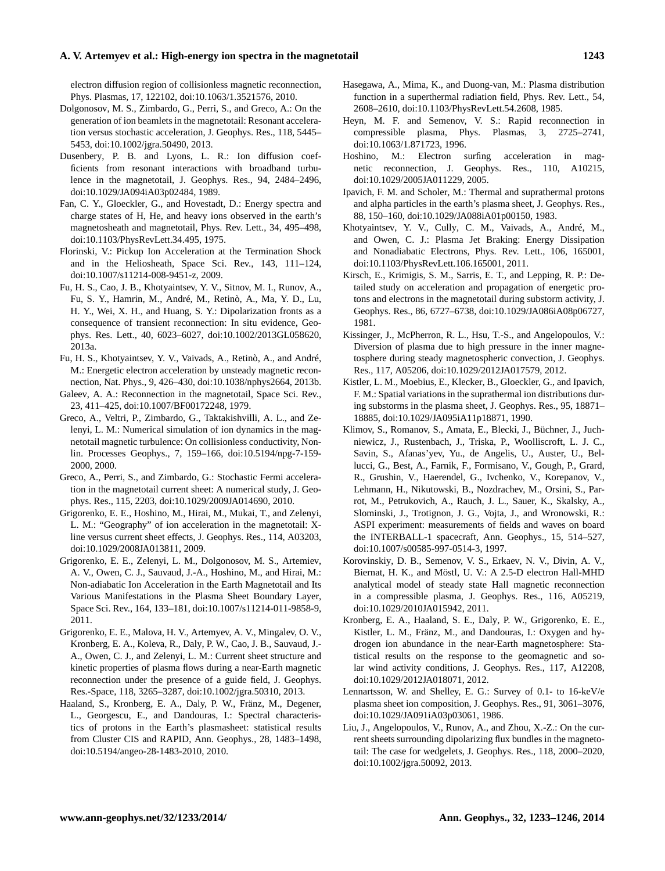### **A. V. Artemyev et al.: High-energy ion spectra in the magnetotail 1243**

electron diffusion region of collisionless magnetic reconnection, Phys. Plasmas, 17, 122102, doi[:10.1063/1.3521576,](http://dx.doi.org/10.1063/1.3521576) 2010.

- <span id="page-10-14"></span>Dolgonosov, M. S., Zimbardo, G., Perri, S., and Greco, A.: On the generation of ion beamlets in the magnetotail: Resonant acceleration versus stochastic acceleration, J. Geophys. Res., 118, 5445– 5453, doi[:10.1002/jgra.50490,](http://dx.doi.org/10.1002/jgra.50490) 2013.
- <span id="page-10-15"></span>Dusenbery, P. B. and Lyons, L. R.: Ion diffusion coefficients from resonant interactions with broadband turbulence in the magnetotail, J. Geophys. Res., 94, 2484–2496, doi[:10.1029/JA094iA03p02484,](http://dx.doi.org/10.1029/JA094iA03p02484) 1989.
- <span id="page-10-0"></span>Fan, C. Y., Gloeckler, G., and Hovestadt, D.: Energy spectra and charge states of H, He, and heavy ions observed in the earth's magnetosheath and magnetotail, Phys. Rev. Lett., 34, 495–498, doi[:10.1103/PhysRevLett.34.495,](http://dx.doi.org/10.1103/PhysRevLett.34.495) 1975.
- <span id="page-10-24"></span>Florinski, V.: Pickup Ion Acceleration at the Termination Shock and in the Heliosheath, Space Sci. Rev., 143, 111–124, doi[:10.1007/s11214-008-9451-z,](http://dx.doi.org/10.1007/s11214-008-9451-z) 2009.
- <span id="page-10-11"></span>Fu, H. S., Cao, J. B., Khotyaintsev, Y. V., Sitnov, M. I., Runov, A., Fu, S. Y., Hamrin, M., André, M., Retinò, A., Ma, Y. D., Lu, H. Y., Wei, X. H., and Huang, S. Y.: Dipolarization fronts as a consequence of transient reconnection: In situ evidence, Geophys. Res. Lett., 40, 6023–6027, doi[:10.1002/2013GL058620,](http://dx.doi.org/10.1002/2013GL058620) 2013a.
- <span id="page-10-12"></span>Fu, H. S., Khotyaintsev, Y. V., Vaivads, A., Retinò, A., and André, M.: Energetic electron acceleration by unsteady magnetic reconnection, Nat. Phys., 9, 426–430, doi[:10.1038/nphys2664,](http://dx.doi.org/10.1038/nphys2664) 2013b.
- <span id="page-10-10"></span>Galeev, A. A.: Reconnection in the magnetotail, Space Sci. Rev., 23, 411–425, doi[:10.1007/BF00172248,](http://dx.doi.org/10.1007/BF00172248) 1979.
- <span id="page-10-7"></span>Greco, A., Veltri, P., Zimbardo, G., Taktakishvilli, A. L., and Zelenyi, L. M.: Numerical simulation of ion dynamics in the magnetotail magnetic turbulence: On collisionless conductivity, Nonlin. Processes Geophys., 7, 159–166, doi[:10.5194/npg-7-159-](http://dx.doi.org/10.5194/npg-7-159-2000) [2000,](http://dx.doi.org/10.5194/npg-7-159-2000) 2000.
- <span id="page-10-13"></span>Greco, A., Perri, S., and Zimbardo, G.: Stochastic Fermi acceleration in the magnetotail current sheet: A numerical study, J. Geophys. Res., 115, 2203, doi[:10.1029/2009JA014690,](http://dx.doi.org/10.1029/2009JA014690) 2010.
- <span id="page-10-5"></span>Grigorenko, E. E., Hoshino, M., Hirai, M., Mukai, T., and Zelenyi, L. M.: "Geography" of ion acceleration in the magnetotail: Xline versus current sheet effects, J. Geophys. Res., 114, A03203, doi[:10.1029/2008JA013811,](http://dx.doi.org/10.1029/2008JA013811) 2009.
- <span id="page-10-6"></span>Grigorenko, E. E., Zelenyi, L. M., Dolgonosov, M. S., Artemiev, A. V., Owen, C. J., Sauvaud, J.-A., Hoshino, M., and Hirai, M.: Non-adiabatic Ion Acceleration in the Earth Magnetotail and Its Various Manifestations in the Plasma Sheet Boundary Layer, Space Sci. Rev., 164, 133–181, doi[:10.1007/s11214-011-9858-9,](http://dx.doi.org/10.1007/s11214-011-9858-9) 2011.
- <span id="page-10-19"></span>Grigorenko, E. E., Malova, H. V., Artemyev, A. V., Mingalev, O. V., Kronberg, E. A., Koleva, R., Daly, P. W., Cao, J. B., Sauvaud, J.- A., Owen, C. J., and Zelenyi, L. M.: Current sheet structure and kinetic properties of plasma flows during a near-Earth magnetic reconnection under the presence of a guide field, J. Geophys. Res.-Space, 118, 3265–3287, doi[:10.1002/jgra.50310,](http://dx.doi.org/10.1002/jgra.50310) 2013.
- <span id="page-10-3"></span>Haaland, S., Kronberg, E. A., Daly, P. W., Fränz, M., Degener, L., Georgescu, E., and Dandouras, I.: Spectral characteristics of protons in the Earth's plasmasheet: statistical results from Cluster CIS and RAPID, Ann. Geophys., 28, 1483–1498, doi[:10.5194/angeo-28-1483-2010,](http://dx.doi.org/10.5194/angeo-28-1483-2010) 2010.
- <span id="page-10-16"></span>Hasegawa, A., Mima, K., and Duong-van, M.: Plasma distribution function in a superthermal radiation field, Phys. Rev. Lett., 54, 2608–2610, doi[:10.1103/PhysRevLett.54.2608,](http://dx.doi.org/10.1103/PhysRevLett.54.2608) 1985.
- <span id="page-10-22"></span>Heyn, M. F. and Semenov, V. S.: Rapid reconnection in compressible plasma, Phys. Plasmas, 3, 2725–2741, doi[:10.1063/1.871723,](http://dx.doi.org/10.1063/1.871723) 1996.
- <span id="page-10-9"></span>Hoshino, M.: Electron surfing acceleration in magnetic reconnection, J. Geophys. Res., 110, A10215, doi[:10.1029/2005JA011229,](http://dx.doi.org/10.1029/2005JA011229) 2005.
- <span id="page-10-2"></span>Ipavich, F. M. and Scholer, M.: Thermal and suprathermal protons and alpha particles in the earth's plasma sheet, J. Geophys. Res., 88, 150–160, doi[:10.1029/JA088iA01p00150,](http://dx.doi.org/10.1029/JA088iA01p00150) 1983.
- <span id="page-10-20"></span>Khotyaintsev, Y. V., Cully, C. M., Vaivads, A., André, M., and Owen, C. J.: Plasma Jet Braking: Energy Dissipation and Nonadiabatic Electrons, Phys. Rev. Lett., 106, 165001, doi[:10.1103/PhysRevLett.106.165001,](http://dx.doi.org/10.1103/PhysRevLett.106.165001) 2011.
- <span id="page-10-1"></span>Kirsch, E., Krimigis, S. M., Sarris, E. T., and Lepping, R. P.: Detailed study on acceleration and propagation of energetic protons and electrons in the magnetotail during substorm activity, J. Geophys. Res., 86, 6727–6738, doi[:10.1029/JA086iA08p06727,](http://dx.doi.org/10.1029/JA086iA08p06727) 1981.
- <span id="page-10-21"></span>Kissinger, J., McPherron, R. L., Hsu, T.-S., and Angelopoulos, V.: Diversion of plasma due to high pressure in the inner magnetosphere during steady magnetospheric convection, J. Geophys. Res., 117, A05206, doi[:10.1029/2012JA017579,](http://dx.doi.org/10.1029/2012JA017579) 2012.
- <span id="page-10-4"></span>Kistler, L. M., Moebius, E., Klecker, B., Gloeckler, G., and Ipavich, F. M.: Spatial variations in the suprathermal ion distributions during substorms in the plasma sheet, J. Geophys. Res., 95, 18871– 18885, doi[:10.1029/JA095iA11p18871,](http://dx.doi.org/10.1029/JA095iA11p18871) 1990.
- <span id="page-10-17"></span>Klimov, S., Romanov, S., Amata, E., Blecki, J., Büchner, J., Juchniewicz, J., Rustenbach, J., Triska, P., Woolliscroft, L. J. C., Savin, S., Afanas'yev, Yu., de Angelis, U., Auster, U., Bellucci, G., Best, A., Farnik, F., Formisano, V., Gough, P., Grard, R., Grushin, V., Haerendel, G., Ivchenko, V., Korepanov, V., Lehmann, H., Nikutowski, B., Nozdrachev, M., Orsini, S., Parrot, M., Petrukovich, A., Rauch, J. L., Sauer, K., Skalsky, A., Slominski, J., Trotignon, J. G., Vojta, J., and Wronowski, R.: ASPI experiment: measurements of fields and waves on board the INTERBALL-1 spacecraft, Ann. Geophys., 15, 514–527, doi[:10.1007/s00585-997-0514-3,](http://dx.doi.org/10.1007/s00585-997-0514-3) 1997.
- <span id="page-10-8"></span>Korovinskiy, D. B., Semenov, V. S., Erkaev, N. V., Divin, A. V., Biernat, H. K., and Möstl, U. V.: A 2.5-D electron Hall-MHD analytical model of steady state Hall magnetic reconnection in a compressible plasma, J. Geophys. Res., 116, A05219, doi[:10.1029/2010JA015942,](http://dx.doi.org/10.1029/2010JA015942) 2011.
- <span id="page-10-25"></span>Kronberg, E. A., Haaland, S. E., Daly, P. W., Grigorenko, E. E., Kistler, L. M., Fränz, M., and Dandouras, I.: Oxygen and hydrogen ion abundance in the near-Earth magnetosphere: Statistical results on the response to the geomagnetic and solar wind activity conditions, J. Geophys. Res., 117, A12208, doi[:10.1029/2012JA018071,](http://dx.doi.org/10.1029/2012JA018071) 2012.
- <span id="page-10-18"></span>Lennartsson, W. and Shelley, E. G.: Survey of 0.1- to 16-keV/e plasma sheet ion composition, J. Geophys. Res., 91, 3061–3076, doi[:10.1029/JA091iA03p03061,](http://dx.doi.org/10.1029/JA091iA03p03061) 1986.
- <span id="page-10-23"></span>Liu, J., Angelopoulos, V., Runov, A., and Zhou, X.-Z.: On the current sheets surrounding dipolarizing flux bundles in the magnetotail: The case for wedgelets, J. Geophys. Res., 118, 2000–2020, doi[:10.1002/jgra.50092,](http://dx.doi.org/10.1002/jgra.50092) 2013.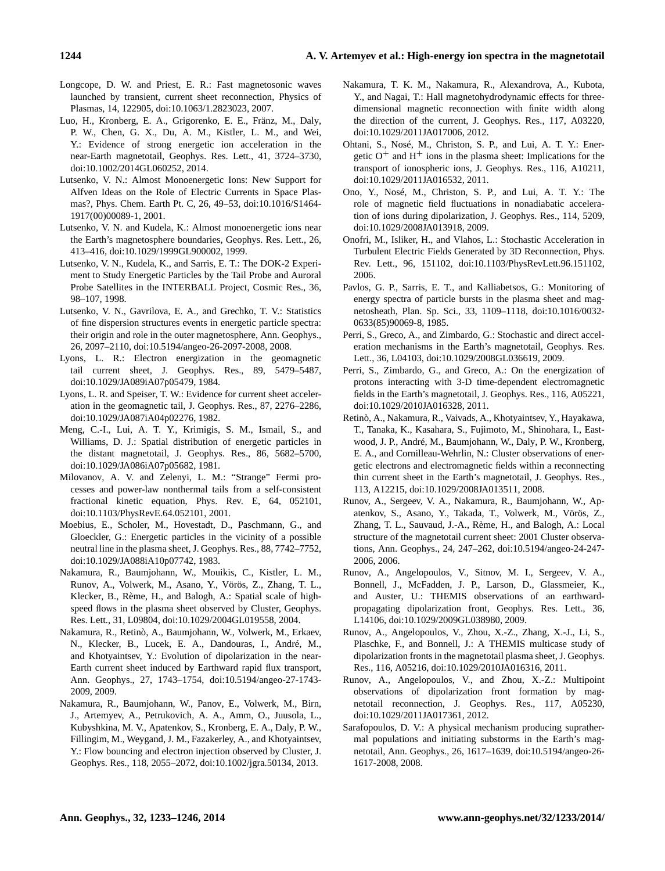## **1244 A. V. Artemyev et al.: High-energy ion spectra in the magnetotail**

- <span id="page-11-23"></span>Longcope, D. W. and Priest, E. R.: Fast magnetosonic waves launched by transient, current sheet reconnection, Physics of Plasmas, 14, 122905, doi[:10.1063/1.2823023,](http://dx.doi.org/10.1063/1.2823023) 2007.
- <span id="page-11-5"></span>Luo, H., Kronberg, E. A., Grigorenko, E. E., Fränz, M., Daly, P. W., Chen, G. X., Du, A. M., Kistler, L. M., and Wei, Y.: Evidence of strong energetic ion acceleration in the near-Earth magnetotail, Geophys. Res. Lett., 41, 3724–3730, doi[:10.1002/2014GL060252,](http://dx.doi.org/10.1002/2014GL060252) 2014.
- <span id="page-11-10"></span>Lutsenko, V. N.: Almost Monoenergetic Ions: New Support for Alfven Ideas on the Role of Electric Currents in Space Plasmas?, Phys. Chem. Earth Pt. C, 26, 49–53, doi[:10.1016/S1464-](http://dx.doi.org/10.1016/S1464-1917(00)00089-1) [1917\(00\)00089-1,](http://dx.doi.org/10.1016/S1464-1917(00)00089-1) 2001.
- <span id="page-11-6"></span>Lutsenko, V. N. and Kudela, K.: Almost monoenergetic ions near the Earth's magnetosphere boundaries, Geophys. Res. Lett., 26, 413–416, doi[:10.1029/1999GL900002,](http://dx.doi.org/10.1029/1999GL900002) 1999.
- <span id="page-11-7"></span>Lutsenko, V. N., Kudela, K., and Sarris, E. T.: The DOK-2 Experiment to Study Energetic Particles by the Tail Probe and Auroral Probe Satellites in the INTERBALL Project, Cosmic Res., 36, 98–107, 1998.
- <span id="page-11-11"></span>Lutsenko, V. N., Gavrilova, E. A., and Grechko, T. V.: Statistics of fine dispersion structures events in energetic particle spectra: their origin and role in the outer magnetosphere, Ann. Geophys., 26, 2097–2110, doi[:10.5194/angeo-26-2097-2008,](http://dx.doi.org/10.5194/angeo-26-2097-2008) 2008.
- <span id="page-11-9"></span>Lyons, L. R.: Electron energization in the geomagnetic tail current sheet, J. Geophys. Res., 89, 5479–5487, doi[:10.1029/JA089iA07p05479,](http://dx.doi.org/10.1029/JA089iA07p05479) 1984.
- <span id="page-11-8"></span>Lyons, L. R. and Speiser, T. W.: Evidence for current sheet acceleration in the geomagnetic tail, J. Geophys. Res., 87, 2276–2286, doi[:10.1029/JA087iA04p02276,](http://dx.doi.org/10.1029/JA087iA04p02276) 1982.
- <span id="page-11-1"></span>Meng, C.-I., Lui, A. T. Y., Krimigis, S. M., Ismail, S., and Williams, D. J.: Spatial distribution of energetic particles in the distant magnetotail, J. Geophys. Res., 86, 5682–5700, doi[:10.1029/JA086iA07p05682,](http://dx.doi.org/10.1029/JA086iA07p05682) 1981.
- <span id="page-11-17"></span>Milovanov, A. V. and Zelenyi, L. M.: "Strange" Fermi processes and power-law nonthermal tails from a self-consistent fractional kinetic equation, Phys. Rev. E, 64, 052101, doi[:10.1103/PhysRevE.64.052101,](http://dx.doi.org/10.1103/PhysRevE.64.052101) 2001.
- <span id="page-11-2"></span>Moebius, E., Scholer, M., Hovestadt, D., Paschmann, G., and Gloeckler, G.: Energetic particles in the vicinity of a possible neutral line in the plasma sheet, J. Geophys. Res., 88, 7742–7752, doi[:10.1029/JA088iA10p07742,](http://dx.doi.org/10.1029/JA088iA10p07742) 1983.
- <span id="page-11-24"></span>Nakamura, R., Baumjohann, W., Mouikis, C., Kistler, L. M., Runov, A., Volwerk, M., Asano, Y., Vörös, Z., Zhang, T. L., Klecker, B., Rème, H., and Balogh, A.: Spatial scale of highspeed flows in the plasma sheet observed by Cluster, Geophys. Res. Lett., 31, L09804, doi[:10.1029/2004GL019558,](http://dx.doi.org/10.1029/2004GL019558) 2004.
- <span id="page-11-19"></span>Nakamura, R., Retinò, A., Baumjohann, W., Volwerk, M., Erkaev, N., Klecker, B., Lucek, E. A., Dandouras, I., André, M., and Khotyaintsev, Y.: Evolution of dipolarization in the near-Earth current sheet induced by Earthward rapid flux transport, Ann. Geophys., 27, 1743–1754, doi[:10.5194/angeo-27-1743-](http://dx.doi.org/10.5194/angeo-27-1743-2009) [2009,](http://dx.doi.org/10.5194/angeo-27-1743-2009) 2009.
- <span id="page-11-21"></span>Nakamura, R., Baumjohann, W., Panov, E., Volwerk, M., Birn, J., Artemyev, A., Petrukovich, A. A., Amm, O., Juusola, L., Kubyshkina, M. V., Apatenkov, S., Kronberg, E. A., Daly, P. W., Fillingim, M., Weygand, J. M., Fazakerley, A., and Khotyaintsev, Y.: Flow bouncing and electron injection observed by Cluster, J. Geophys. Res., 118, 2055–2072, doi[:10.1002/jgra.50134,](http://dx.doi.org/10.1002/jgra.50134) 2013.
- <span id="page-11-25"></span>Nakamura, T. K. M., Nakamura, R., Alexandrova, A., Kubota, Y., and Nagai, T.: Hall magnetohydrodynamic effects for threedimensional magnetic reconnection with finite width along the direction of the current, J. Geophys. Res., 117, A03220, doi[:10.1029/2011JA017006,](http://dx.doi.org/10.1029/2011JA017006) 2012.
- <span id="page-11-3"></span>Ohtani, S., Nosé, M., Christon, S. P., and Lui, A. T. Y.: Energetic  $O^+$  and H<sup>+</sup> ions in the plasma sheet: Implications for the transport of ionospheric ions, J. Geophys. Res., 116, A10211, doi[:10.1029/2011JA016532,](http://dx.doi.org/10.1029/2011JA016532) 2011.
- <span id="page-11-16"></span>Ono, Y., Nosé, M., Christon, S. P., and Lui, A. T. Y.: The role of magnetic field fluctuations in nonadiabatic acceleration of ions during dipolarization, J. Geophys. Res., 114, 5209, doi[:10.1029/2008JA013918,](http://dx.doi.org/10.1029/2008JA013918) 2009.
- <span id="page-11-15"></span>Onofri, M., Isliker, H., and Vlahos, L.: Stochastic Acceleration in Turbulent Electric Fields Generated by 3D Reconnection, Phys. Rev. Lett., 96, 151102, doi[:10.1103/PhysRevLett.96.151102,](http://dx.doi.org/10.1103/PhysRevLett.96.151102) 2006.
- <span id="page-11-0"></span>Pavlos, G. P., Sarris, E. T., and Kalliabetsos, G.: Monitoring of energy spectra of particle bursts in the plasma sheet and magnetosheath, Plan. Sp. Sci., 33, 1109–1118, doi[:10.1016/0032-](http://dx.doi.org/10.1016/0032-0633(85)90069-8) [0633\(85\)90069-8,](http://dx.doi.org/10.1016/0032-0633(85)90069-8) 1985.
- <span id="page-11-13"></span>Perri, S., Greco, A., and Zimbardo, G.: Stochastic and direct acceleration mechanisms in the Earth's magnetotail, Geophys. Res. Lett., 36, L04103, doi[:10.1029/2008GL036619,](http://dx.doi.org/10.1029/2008GL036619) 2009.
- <span id="page-11-14"></span>Perri, S., Zimbardo, G., and Greco, A.: On the energization of protons interacting with 3-D time-dependent electromagnetic fields in the Earth's magnetotail, J. Geophys. Res., 116, A05221, doi[:10.1029/2010JA016328,](http://dx.doi.org/10.1029/2010JA016328) 2011.
- <span id="page-11-18"></span>Retinò, A., Nakamura, R., Vaivads, A., Khotyaintsev, Y., Hayakawa, T., Tanaka, K., Kasahara, S., Fujimoto, M., Shinohara, I., Eastwood, J. P., André, M., Baumjohann, W., Daly, P. W., Kronberg, E. A., and Cornilleau-Wehrlin, N.: Cluster observations of energetic electrons and electromagnetic fields within a reconnecting thin current sheet in the Earth's magnetotail, J. Geophys. Res., 113, A12215, doi[:10.1029/2008JA013511,](http://dx.doi.org/10.1029/2008JA013511) 2008.
- <span id="page-11-26"></span>Runov, A., Sergeev, V. A., Nakamura, R., Baumjohann, W., Apatenkov, S., Asano, Y., Takada, T., Volwerk, M., Vörös, Z., Zhang, T. L., Sauvaud, J.-A., Rème, H., and Balogh, A.: Local structure of the magnetotail current sheet: 2001 Cluster observations, Ann. Geophys., 24, 247–262, doi[:10.5194/angeo-24-247-](http://dx.doi.org/10.5194/angeo-24-247-2006) [2006,](http://dx.doi.org/10.5194/angeo-24-247-2006) 2006.
- <span id="page-11-20"></span>Runov, A., Angelopoulos, V., Sitnov, M. I., Sergeev, V. A., Bonnell, J., McFadden, J. P., Larson, D., Glassmeier, K., and Auster, U.: THEMIS observations of an earthwardpropagating dipolarization front, Geophys. Res. Lett., 36, L14106, doi[:10.1029/2009GL038980,](http://dx.doi.org/10.1029/2009GL038980) 2009.
- <span id="page-11-12"></span>Runov, A., Angelopoulos, V., Zhou, X.-Z., Zhang, X.-J., Li, S., Plaschke, F., and Bonnell, J.: A THEMIS multicase study of dipolarization fronts in the magnetotail plasma sheet, J. Geophys. Res., 116, A05216, doi[:10.1029/2010JA016316,](http://dx.doi.org/10.1029/2010JA016316) 2011.
- <span id="page-11-22"></span>Runov, A., Angelopoulos, V., and Zhou, X.-Z.: Multipoint observations of dipolarization front formation by magnetotail reconnection, J. Geophys. Res., 117, A05230, doi[:10.1029/2011JA017361,](http://dx.doi.org/10.1029/2011JA017361) 2012.
- <span id="page-11-4"></span>Sarafopoulos, D. V.: A physical mechanism producing suprathermal populations and initiating substorms in the Earth's magnetotail, Ann. Geophys., 26, 1617–1639, doi[:10.5194/angeo-26-](http://dx.doi.org/10.5194/angeo-26-1617-2008) [1617-2008,](http://dx.doi.org/10.5194/angeo-26-1617-2008) 2008.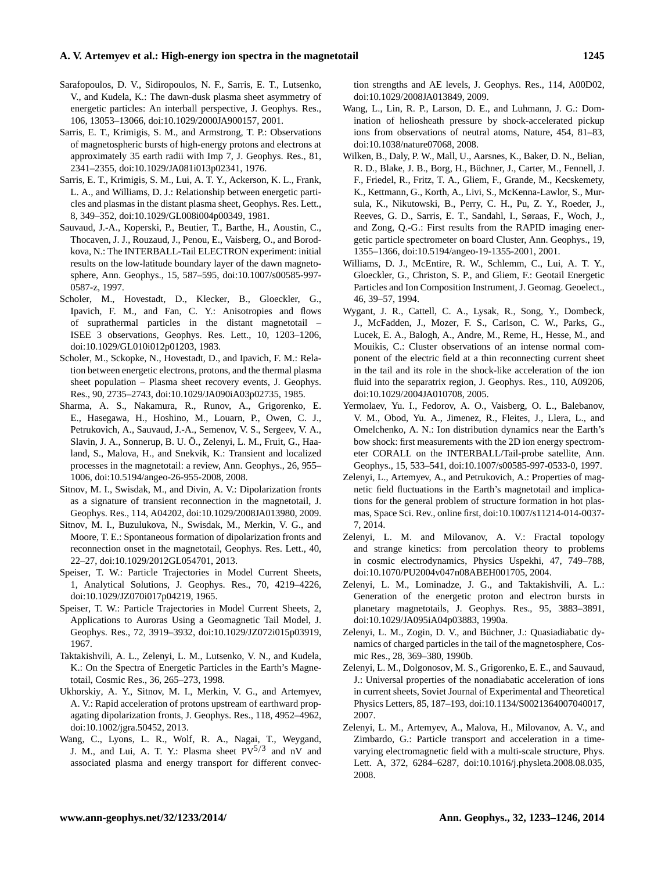### **A. V. Artemyev et al.: High-energy ion spectra in the magnetotail 1245**

- <span id="page-12-6"></span>Sarafopoulos, D. V., Sidiropoulos, N. F., Sarris, E. T., Lutsenko, V., and Kudela, K.: The dawn-dusk plasma sheet asymmetry of energetic particles: An interball perspective, J. Geophys. Res., 106, 13053–13066, doi[:10.1029/2000JA900157,](http://dx.doi.org/10.1029/2000JA900157) 2001.
- <span id="page-12-0"></span>Sarris, E. T., Krimigis, S. M., and Armstrong, T. P.: Observations of magnetospheric bursts of high-energy protons and electrons at approximately 35 earth radii with Imp 7, J. Geophys. Res., 81, 2341–2355, doi[:10.1029/JA081i013p02341,](http://dx.doi.org/10.1029/JA081i013p02341) 1976.
- <span id="page-12-1"></span>Sarris, E. T., Krimigis, S. M., Lui, A. T. Y., Ackerson, K. L., Frank, L. A., and Williams, D. J.: Relationship between energetic particles and plasmas in the distant plasma sheet, Geophys. Res. Lett., 8, 349–352, doi[:10.1029/GL008i004p00349,](http://dx.doi.org/10.1029/GL008i004p00349) 1981.
- <span id="page-12-22"></span>Sauvaud, J.-A., Koperski, P., Beutier, T., Barthe, H., Aoustin, C., Thocaven, J. J., Rouzaud, J., Penou, E., Vaisberg, O., and Borodkova, N.: The INTERBALL-Tail ELECTRON experiment: initial results on the low-latitude boundary layer of the dawn magnetosphere, Ann. Geophys., 15, 587–595, doi[:10.1007/s00585-997-](http://dx.doi.org/10.1007/s00585-997-0587-z) [0587-z,](http://dx.doi.org/10.1007/s00585-997-0587-z) 1997.
- <span id="page-12-2"></span>Scholer, M., Hovestadt, D., Klecker, B., Gloeckler, G., Ipavich, F. M., and Fan, C. Y.: Anisotropies and flows of suprathermal particles in the distant magnetotail – ISEE 3 observations, Geophys. Res. Lett., 10, 1203–1206, doi[:10.1029/GL010i012p01203,](http://dx.doi.org/10.1029/GL010i012p01203) 1983.
- <span id="page-12-3"></span>Scholer, M., Sckopke, N., Hovestadt, D., and Ipavich, F. M.: Relation between energetic electrons, protons, and the thermal plasma sheet population – Plasma sheet recovery events, J. Geophys. Res., 90, 2735–2743, doi[:10.1029/JA090iA03p02735,](http://dx.doi.org/10.1029/JA090iA03p02735) 1985.
- <span id="page-12-23"></span>Sharma, A. S., Nakamura, R., Runov, A., Grigorenko, E. E., Hasegawa, H., Hoshino, M., Louarn, P., Owen, C. J., Petrukovich, A., Sauvaud, J.-A., Semenov, V. S., Sergeev, V. A., Slavin, J. A., Sonnerup, B. U. Ö., Zelenyi, L. M., Fruit, G., Haaland, S., Malova, H., and Snekvik, K.: Transient and localized processes in the magnetotail: a review, Ann. Geophys., 26, 955– 1006, doi[:10.5194/angeo-26-955-2008,](http://dx.doi.org/10.5194/angeo-26-955-2008) 2008.
- <span id="page-12-15"></span>Sitnov, M. I., Swisdak, M., and Divin, A. V.: Dipolarization fronts as a signature of transient reconnection in the magnetotail, J. Geophys. Res., 114, A04202, doi[:10.1029/2008JA013980,](http://dx.doi.org/10.1029/2008JA013980) 2009.
- <span id="page-12-16"></span>Sitnov, M. I., Buzulukova, N., Swisdak, M., Merkin, V. G., and Moore, T. E.: Spontaneous formation of dipolarization fronts and reconnection onset in the magnetotail, Geophys. Res. Lett., 40, 22–27, doi[:10.1029/2012GL054701,](http://dx.doi.org/10.1029/2012GL054701) 2013.
- <span id="page-12-7"></span>Speiser, T. W.: Particle Trajectories in Model Current Sheets, 1, Analytical Solutions, J. Geophys. Res., 70, 4219–4226, doi[:10.1029/JZ070i017p04219,](http://dx.doi.org/10.1029/JZ070i017p04219) 1965.
- <span id="page-12-8"></span>Speiser, T. W.: Particle Trajectories in Model Current Sheets, 2, Applications to Auroras Using a Geomagnetic Tail Model, J. Geophys. Res., 72, 3919–3932, doi[:10.1029/JZ072i015p03919,](http://dx.doi.org/10.1029/JZ072i015p03919) 1967.
- <span id="page-12-14"></span>Taktakishvili, A. L., Zelenyi, L. M., Lutsenko, V. N., and Kudela, K.: On the Spectra of Energetic Particles in the Earth's Magnetotail, Cosmic Res., 36, 265–273, 1998.
- <span id="page-12-17"></span>Ukhorskiy, A. Y., Sitnov, M. I., Merkin, V. G., and Artemyev, A. V.: Rapid acceleration of protons upstream of earthward propagating dipolarization fronts, J. Geophys. Res., 118, 4952–4962, doi[:10.1002/jgra.50452,](http://dx.doi.org/10.1002/jgra.50452) 2013.
- <span id="page-12-11"></span>Wang, C., Lyons, L. R., Wolf, R. A., Nagai, T., Weygand, J. M., and Lui, A. T. Y.: Plasma sheet  $PV^{5/3}$  and nV and associated plasma and energy transport for different convec-

tion strengths and AE levels, J. Geophys. Res., 114, A00D02, doi[:10.1029/2008JA013849,](http://dx.doi.org/10.1029/2008JA013849) 2009.

- <span id="page-12-24"></span>Wang, L., Lin, R. P., Larson, D. E., and Luhmann, J. G.: Domination of heliosheath pressure by shock-accelerated pickup ions from observations of neutral atoms, Nature, 454, 81–83, doi[:10.1038/nature07068,](http://dx.doi.org/10.1038/nature07068) 2008.
- <span id="page-12-5"></span>Wilken, B., Daly, P. W., Mall, U., Aarsnes, K., Baker, D. N., Belian, R. D., Blake, J. B., Borg, H., Büchner, J., Carter, M., Fennell, J. F., Friedel, R., Fritz, T. A., Gliem, F., Grande, M., Kecskemety, K., Kettmann, G., Korth, A., Livi, S., McKenna-Lawlor, S., Mursula, K., Nikutowski, B., Perry, C. H., Pu, Z. Y., Roeder, J., Reeves, G. D., Sarris, E. T., Sandahl, I., Søraas, F., Woch, J., and Zong, Q.-G.: First results from the RAPID imaging energetic particle spectrometer on board Cluster, Ann. Geophys., 19, 1355–1366, doi[:10.5194/angeo-19-1355-2001,](http://dx.doi.org/10.5194/angeo-19-1355-2001) 2001.
- <span id="page-12-4"></span>Williams, D. J., McEntire, R. W., Schlemm, C., Lui, A. T. Y., Gloeckler, G., Christon, S. P., and Gliem, F.: Geotail Energetic Particles and Ion Composition Instrument, J. Geomag. Geoelect., 46, 39–57, 1994.
- <span id="page-12-12"></span>Wygant, J. R., Cattell, C. A., Lysak, R., Song, Y., Dombeck, J., McFadden, J., Mozer, F. S., Carlson, C. W., Parks, G., Lucek, E. A., Balogh, A., Andre, M., Reme, H., Hesse, M., and Mouikis, C.: Cluster observations of an intense normal component of the electric field at a thin reconnecting current sheet in the tail and its role in the shock-like acceleration of the ion fluid into the separatrix region, J. Geophys. Res., 110, A09206, doi[:10.1029/2004JA010708,](http://dx.doi.org/10.1029/2004JA010708) 2005.
- <span id="page-12-21"></span>Yermolaev, Yu. I., Fedorov, A. O., Vaisberg, O. L., Balebanov, V. M., Obod, Yu. A., Jimenez, R., Fleites, J., Llera, L., and Omelchenko, A. N.: Ion distribution dynamics near the Earth's bow shock: first measurements with the 2D ion energy spectrometer CORALL on the INTERBALL/Tail-probe satellite, Ann. Geophys., 15, 533–541, doi[:10.1007/s00585-997-0533-0,](http://dx.doi.org/10.1007/s00585-997-0533-0) 1997.
- <span id="page-12-18"></span>Zelenyi, L., Artemyev, A., and Petrukovich, A.: Properties of magnetic field fluctuations in the Earth's magnetotail and implications for the general problem of structure formation in hot plasmas, Space Sci. Rev., online first, doi[:10.1007/s11214-014-0037-](http://dx.doi.org/10.1007/s11214-014-0037-7) [7,](http://dx.doi.org/10.1007/s11214-014-0037-7) 2014.
- <span id="page-12-19"></span>Zelenyi, L. M. and Milovanov, A. V.: Fractal topology and strange kinetics: from percolation theory to problems in cosmic electrodynamics, Physics Uspekhi, 47, 749–788, doi[:10.1070/PU2004v047n08ABEH001705,](http://dx.doi.org/10.1070/PU2004v047n08ABEH001705) 2004.
- <span id="page-12-13"></span>Zelenyi, L. M., Lominadze, J. G., and Taktakishvili, A. L.: Generation of the energetic proton and electron bursts in planetary magnetotails, J. Geophys. Res., 95, 3883–3891, doi[:10.1029/JA095iA04p03883,](http://dx.doi.org/10.1029/JA095iA04p03883) 1990a.
- <span id="page-12-10"></span>Zelenyi, L. M., Zogin, D. V., and Büchner, J.: Quasiadiabatic dynamics of charged particles in the tail of the magnetosphere, Cosmic Res., 28, 369–380, 1990b.
- <span id="page-12-9"></span>Zelenyi, L. M., Dolgonosov, M. S., Grigorenko, E. E., and Sauvaud, J.: Universal properties of the nonadiabatic acceleration of ions in current sheets, Soviet Journal of Experimental and Theoretical Physics Letters, 85, 187–193, doi[:10.1134/S0021364007040017,](http://dx.doi.org/10.1134/S0021364007040017) 2007.
- <span id="page-12-20"></span>Zelenyi, L. M., Artemyev, A., Malova, H., Milovanov, A. V., and Zimbardo, G.: Particle transport and acceleration in a timevarying electromagnetic field with a multi-scale structure, Phys. Lett. A, 372, 6284–6287, doi[:10.1016/j.physleta.2008.08.035,](http://dx.doi.org/10.1016/j.physleta.2008.08.035) 2008.